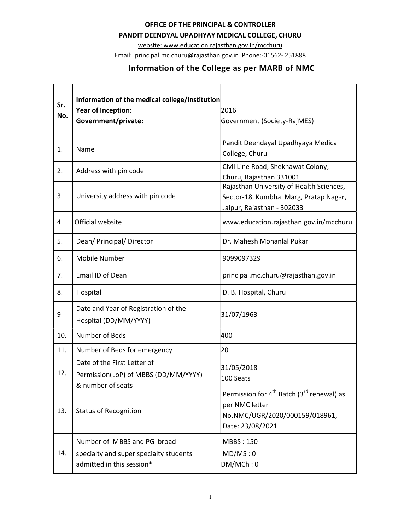## OFFICE OF THE PRINCIPAL & CONTROLLER

## PANDIT DEENDYAL UPADHYAY MEDICAL COLLEGE, CHURU

website: www.education.rajasthan.gov.in/mcchuru

Email: principal.mc.churu@rajasthan.gov.in Phone:-01562- 251888

## Information of the College as per MARB of NMC

| Sr.<br>No. | Information of the medical college/institution<br>Year of Inception:<br>Government/private:        | 2016<br>Government (Society-RajMES)                                                                                                       |
|------------|----------------------------------------------------------------------------------------------------|-------------------------------------------------------------------------------------------------------------------------------------------|
| 1.         | Name                                                                                               | Pandit Deendayal Upadhyaya Medical<br>College, Churu                                                                                      |
| 2.         | Address with pin code                                                                              | Civil Line Road, Shekhawat Colony,<br>Churu, Rajasthan 331001                                                                             |
| 3.         | University address with pin code                                                                   | Rajasthan University of Health Sciences,<br>Sector-18, Kumbha Marg, Pratap Nagar,<br>Jaipur, Rajasthan - 302033                           |
| 4.         | Official website                                                                                   | www.education.rajasthan.gov.in/mcchuru                                                                                                    |
| 5.         | Dean/ Principal/ Director                                                                          | Dr. Mahesh Mohanlal Pukar                                                                                                                 |
| 6.         | Mobile Number                                                                                      | 9099097329                                                                                                                                |
| 7.         | Email ID of Dean                                                                                   | principal.mc.churu@rajasthan.gov.in                                                                                                       |
| 8.         | Hospital                                                                                           | D. B. Hospital, Churu                                                                                                                     |
| 9          | Date and Year of Registration of the<br>Hospital (DD/MM/YYYY)                                      | 31/07/1963                                                                                                                                |
| 10.        | Number of Beds                                                                                     | 400                                                                                                                                       |
| 11.        | Number of Beds for emergency                                                                       | 20                                                                                                                                        |
| 12.        | Date of the First Letter of<br>Permission(LoP) of MBBS (DD/MM/YYYY)<br>& number of seats           | 31/05/2018<br>100 Seats                                                                                                                   |
| 13.        | <b>Status of Recognition</b>                                                                       | Permission for 4 <sup>th</sup> Batch (3 <sup>rd</sup> renewal) as<br>per NMC letter<br>No.NMC/UGR/2020/000159/018961,<br>Date: 23/08/2021 |
| 14.        | Number of MBBS and PG broad<br>specialty and super specialty students<br>admitted in this session* | <b>MBBS: 150</b><br>MD/MS:0<br>DM/MCh:0                                                                                                   |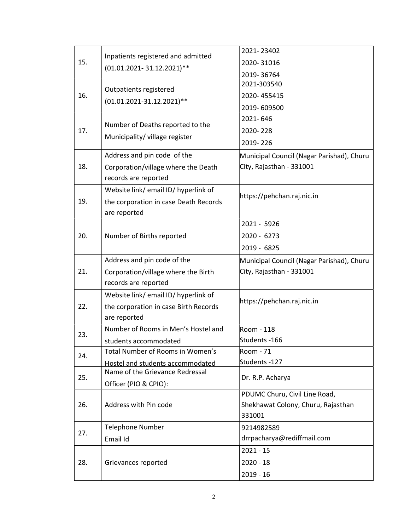|     |                                                                 | 2021-23402                                   |
|-----|-----------------------------------------------------------------|----------------------------------------------|
| 15. | Inpatients registered and admitted<br>(01.01.2021-31.12.2021)** | 2020-31016                                   |
|     |                                                                 | 2019-36764                                   |
|     | Outpatients registered                                          | 2021-303540                                  |
| 16. | $(01.01.2021 - 31.12.2021)$ **                                  | 2020-455415                                  |
|     |                                                                 | 2019-609500                                  |
|     | Number of Deaths reported to the                                | 2021-646                                     |
| 17. |                                                                 | 2020-228                                     |
|     | Municipality/village register                                   | 2019-226                                     |
|     | Address and pin code of the                                     | Municipal Council (Nagar Parishad), Churu    |
| 18. | Corporation/village where the Death                             | City, Rajasthan - 331001                     |
|     | records are reported                                            |                                              |
|     | Website link/email ID/hyperlink of                              |                                              |
| 19. | the corporation in case Death Records                           | https://pehchan.raj.nic.in                   |
|     | are reported                                                    |                                              |
|     |                                                                 | 2021 - 5926                                  |
| 20. | Number of Births reported                                       | 2020 - 6273                                  |
|     |                                                                 | 2019 - 6825                                  |
|     | Address and pin code of the                                     | Municipal Council (Nagar Parishad), Churu    |
| 21. | Corporation/village where the Birth                             | City, Rajasthan - 331001                     |
|     | records are reported                                            |                                              |
|     | Website link/ email ID/ hyperlink of                            |                                              |
| 22. | the corporation in case Birth Records                           | https://pehchan.raj.nic.in                   |
|     | are reported                                                    |                                              |
| 23. | Number of Rooms in Men's Hostel and                             | Room - 118                                   |
|     | students accommodated                                           | Students -166                                |
| 24. | Total Number of Rooms in Women's                                | Room - 71                                    |
|     | Hostel and students accommodated                                | Students -127                                |
| 25. | Name of the Grievance Redressal                                 | Dr. R.P. Acharya                             |
|     | Officer (PIO & CPIO):                                           |                                              |
|     | Address with Pin code                                           | PDUMC Churu, Civil Line Road,                |
| 26. |                                                                 | Shekhawat Colony, Churu, Rajasthan<br>331001 |
|     | <b>Telephone Number</b>                                         | 9214982589                                   |
| 27. | Email Id                                                        | drrpacharya@rediffmail.com                   |
|     |                                                                 | $2021 - 15$                                  |
|     |                                                                 |                                              |
| 28. | Grievances reported                                             | $2020 - 18$                                  |
|     |                                                                 | $2019 - 16$                                  |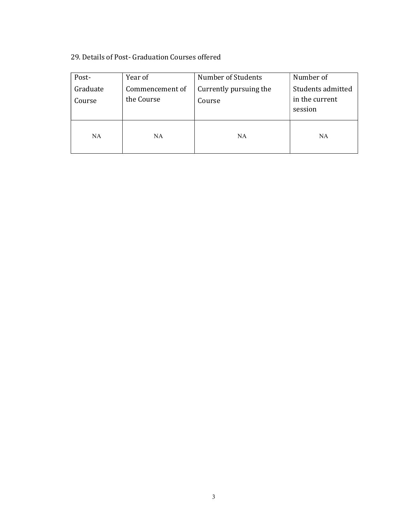## 29. Details of Post- Graduation Courses offered

| Post-              | Year of                       | Number of Students               | Number of                                      |
|--------------------|-------------------------------|----------------------------------|------------------------------------------------|
| Graduate<br>Course | Commencement of<br>the Course | Currently pursuing the<br>Course | Students admitted<br>in the current<br>session |
| <b>NA</b>          | <b>NA</b>                     | <b>NA</b>                        | <b>NA</b>                                      |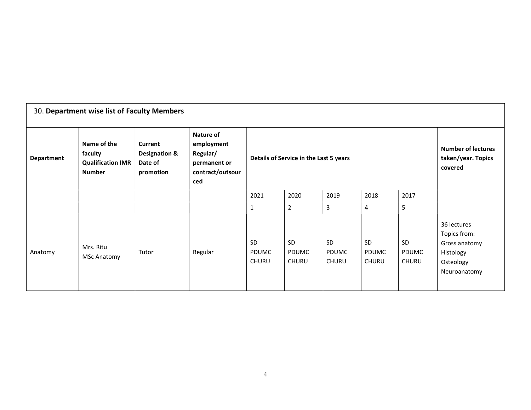| 30. Department wise list of Faculty Members |                                                                     |                                                             |                                                                                       |                                    |                                        |                                                            |                                           |                                    |                                                                                        |  |  |
|---------------------------------------------|---------------------------------------------------------------------|-------------------------------------------------------------|---------------------------------------------------------------------------------------|------------------------------------|----------------------------------------|------------------------------------------------------------|-------------------------------------------|------------------------------------|----------------------------------------------------------------------------------------|--|--|
| <b>Department</b>                           | Name of the<br>faculty<br><b>Qualification IMR</b><br><b>Number</b> | Current<br><b>Designation &amp;</b><br>Date of<br>promotion | <b>Nature of</b><br>employment<br>Regular/<br>permanent or<br>contract/outsour<br>ced |                                    | Details of Service in the Last 5 years | <b>Number of lectures</b><br>taken/year. Topics<br>covered |                                           |                                    |                                                                                        |  |  |
|                                             |                                                                     |                                                             |                                                                                       | 2021                               | 2020                                   | 2019                                                       | 2018                                      | 2017                               |                                                                                        |  |  |
|                                             |                                                                     |                                                             |                                                                                       | 1                                  | $\overline{2}$                         | 3                                                          | 4                                         | 5                                  |                                                                                        |  |  |
| Anatomy                                     | Mrs. Ritu<br><b>MSc Anatomy</b>                                     | Tutor                                                       | Regular                                                                               | <b>SD</b><br><b>PDUMC</b><br>CHURU | SD<br><b>PDUMC</b><br><b>CHURU</b>     | <b>SD</b><br><b>PDUMC</b><br><b>CHURU</b>                  | <b>SD</b><br><b>PDUMC</b><br><b>CHURU</b> | SD<br><b>PDUMC</b><br><b>CHURU</b> | 36 lectures<br>Topics from:<br>Gross anatomy<br>Histology<br>Osteology<br>Neuroanatomy |  |  |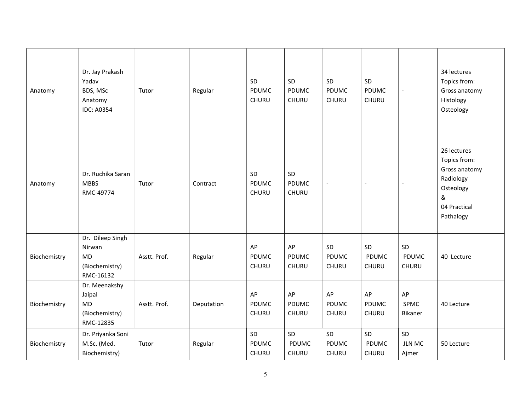| Anatomy      | Dr. Jay Prakash<br>Yadav<br>BDS, MSc<br>Anatomy<br><b>IDC: A0354</b>   | Tutor        | Regular    | SD<br>PDUMC<br>CHURU | SD<br><b>PDUMC</b><br>CHURU        | SD<br><b>PDUMC</b><br>CHURU | SD<br>PDUMC<br>CHURU        | $\mathbb{L}$                 | 34 lectures<br>Topics from:<br>Gross anatomy<br>Histology<br>Osteology                                   |
|--------------|------------------------------------------------------------------------|--------------|------------|----------------------|------------------------------------|-----------------------------|-----------------------------|------------------------------|----------------------------------------------------------------------------------------------------------|
| Anatomy      | Dr. Ruchika Saran<br><b>MBBS</b><br>RMC-49774                          | Tutor        | Contract   | SD<br>PDUMC<br>CHURU | SD<br><b>PDUMC</b><br><b>CHURU</b> | $\overline{\phantom{a}}$    | $\overline{\phantom{a}}$    | $\blacksquare$               | 26 lectures<br>Topics from:<br>Gross anatomy<br>Radiology<br>Osteology<br>&<br>04 Practical<br>Pathalogy |
| Biochemistry | Dr. Dileep Singh<br>Nirwan<br><b>MD</b><br>(Biochemistry)<br>RMC-16132 | Asstt. Prof. | Regular    | AP<br>PDUMC<br>CHURU | AP<br>PDUMC<br>CHURU               | SD<br>PDUMC<br>CHURU        | SD<br>PDUMC<br>CHURU        | SD<br>PDUMC<br>CHURU         | 40 Lecture                                                                                               |
| Biochemistry | Dr. Meenakshy<br>Jaipal<br><b>MD</b><br>(Biochemistry)<br>RMC-12835    | Asstt. Prof. | Deputation | AP<br>PDUMC<br>CHURU | AP<br>PDUMC<br>CHURU               | AP<br><b>PDUMC</b><br>CHURU | AP<br><b>PDUMC</b><br>CHURU | AP<br><b>SPMC</b><br>Bikaner | 40 Lecture                                                                                               |
| Biochemistry | Dr. Priyanka Soni<br>M.Sc. (Med.<br>Biochemistry)                      | Tutor        | Regular    | SD<br>PDUMC<br>CHURU | SD<br><b>PDUMC</b><br>CHURU        | SD<br><b>PDUMC</b><br>CHURU | SD<br>PDUMC<br>CHURU        | SD<br><b>JLN MC</b><br>Ajmer | 50 Lecture                                                                                               |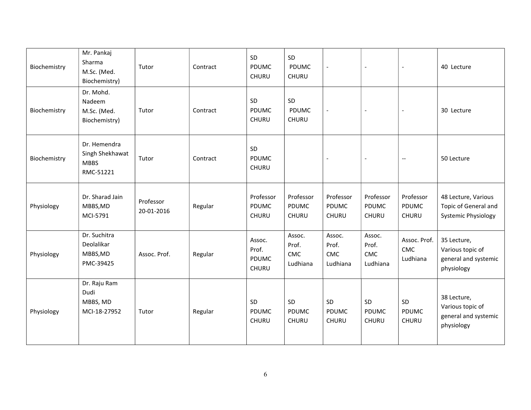| Biochemistry | Mr. Pankaj<br>Sharma<br>M.Sc. (Med.<br>Biochemistry)        | Tutor                   | Contract | SD<br>PDUMC<br>CHURU               | SD<br><b>PDUMC</b><br><b>CHURU</b>        | $\overline{a}$                     | $\overline{\phantom{a}}$           | $\overline{\phantom{a}}$               | 40 Lecture                                                                |
|--------------|-------------------------------------------------------------|-------------------------|----------|------------------------------------|-------------------------------------------|------------------------------------|------------------------------------|----------------------------------------|---------------------------------------------------------------------------|
| Biochemistry | Dr. Mohd.<br>Nadeem<br>M.Sc. (Med.<br>Biochemistry)         | Tutor                   | Contract | SD<br><b>PDUMC</b><br>CHURU        | SD<br><b>PDUMC</b><br>CHURU               |                                    |                                    |                                        | 30 Lecture                                                                |
| Biochemistry | Dr. Hemendra<br>Singh Shekhawat<br><b>MBBS</b><br>RMC-51221 | Tutor                   | Contract | SD<br><b>PDUMC</b><br>CHURU        |                                           |                                    |                                    | $\overline{\phantom{a}}$               | 50 Lecture                                                                |
| Physiology   | Dr. Sharad Jain<br>MBBS, MD<br>MCI-5791                     | Professor<br>20-01-2016 | Regular  | Professor<br>PDUMC<br><b>CHURU</b> | Professor<br><b>PDUMC</b><br><b>CHURU</b> | Professor<br>PDUMC<br><b>CHURU</b> | Professor<br>PDUMC<br><b>CHURU</b> | Professor<br>PDUMC<br><b>CHURU</b>     | 48 Lecture, Various<br>Topic of General and<br><b>Systemic Physiology</b> |
| Physiology   | Dr. Suchitra<br>Deolalikar<br>MBBS, MD<br>PMC-39425         | Assoc. Prof.            | Regular  | Assoc.<br>Prof.<br>PDUMC<br>CHURU  | Assoc.<br>Prof.<br><b>CMC</b><br>Ludhiana | Assoc.<br>Prof.<br>CMC<br>Ludhiana | Assoc.<br>Prof.<br>CMC<br>Ludhiana | Assoc. Prof.<br><b>CMC</b><br>Ludhiana | 35 Lecture,<br>Various topic of<br>general and systemic<br>physiology     |
| Physiology   | Dr. Raju Ram<br>Dudi<br>MBBS, MD<br>MCI-18-27952            | Tutor                   | Regular  | SD<br>PDUMC<br>CHURU               | SD<br><b>PDUMC</b><br><b>CHURU</b>        | SD<br><b>PDUMC</b><br><b>CHURU</b> | SD<br>PDUMC<br>CHURU               | SD<br><b>PDUMC</b><br><b>CHURU</b>     | 38 Lecture,<br>Various topic of<br>general and systemic<br>physiology     |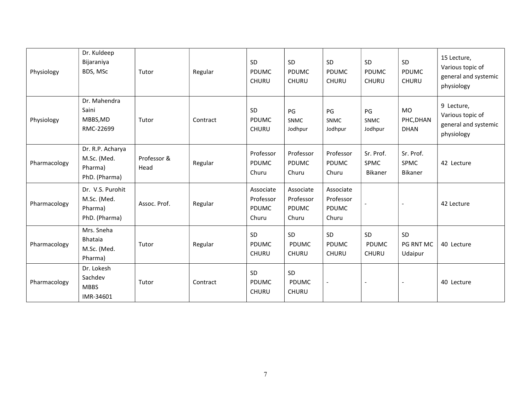| Physiology   | Dr. Kuldeep<br>Bijaraniya<br>BDS, MSc                       | Tutor               | Regular  | SD<br>PDUMC<br><b>CHURU</b>              | SD<br>PDUMC<br><b>CHURU</b>              | SD<br>PDUMC<br><b>CHURU</b>              | SD<br><b>PDUMC</b><br><b>CHURU</b> | SD<br><b>PDUMC</b><br><b>CHURU</b>    | 15 Lecture,<br>Various topic of<br>general and systemic<br>physiology |
|--------------|-------------------------------------------------------------|---------------------|----------|------------------------------------------|------------------------------------------|------------------------------------------|------------------------------------|---------------------------------------|-----------------------------------------------------------------------|
| Physiology   | Dr. Mahendra<br>Saini<br>MBBS, MD<br>RMC-22699              | Tutor               | Contract | SD<br><b>PDUMC</b><br><b>CHURU</b>       | PG<br><b>SNMC</b><br>Jodhpur             | PG<br><b>SNMC</b><br>Jodhpur             | PG<br><b>SNMC</b><br>Jodhpur       | <b>MO</b><br>PHC, DHAN<br><b>DHAN</b> | 9 Lecture,<br>Various topic of<br>general and systemic<br>physiology  |
| Pharmacology | Dr. R.P. Acharya<br>M.Sc. (Med.<br>Pharma)<br>PhD. (Pharma) | Professor &<br>Head | Regular  | Professor<br>PDUMC<br>Churu              | Professor<br>PDUMC<br>Churu              | Professor<br>PDUMC<br>Churu              | Sr. Prof.<br>SPMC<br>Bikaner       | Sr. Prof.<br>SPMC<br>Bikaner          | 42 Lecture                                                            |
| Pharmacology | Dr. V.S. Purohit<br>M.Sc. (Med.<br>Pharma)<br>PhD. (Pharma) | Assoc. Prof.        | Regular  | Associate<br>Professor<br>PDUMC<br>Churu | Associate<br>Professor<br>PDUMC<br>Churu | Associate<br>Professor<br>PDUMC<br>Churu |                                    |                                       | 42 Lecture                                                            |
| Pharmacology | Mrs. Sneha<br><b>Bhataia</b><br>M.Sc. (Med.<br>Pharma)      | Tutor               | Regular  | SD<br>PDUMC<br><b>CHURU</b>              | SD<br>PDUMC<br><b>CHURU</b>              | SD<br>PDUMC<br><b>CHURU</b>              | SD<br>PDUMC<br><b>CHURU</b>        | SD<br>PG RNT MC<br>Udaipur            | 40 Lecture                                                            |
| Pharmacology | Dr. Lokesh<br>Sachdev<br><b>MBBS</b><br>IMR-34601           | Tutor               | Contract | SD<br><b>PDUMC</b><br><b>CHURU</b>       | SD<br><b>PDUMC</b><br><b>CHURU</b>       | $\overline{\phantom{a}}$                 |                                    |                                       | 40 Lecture                                                            |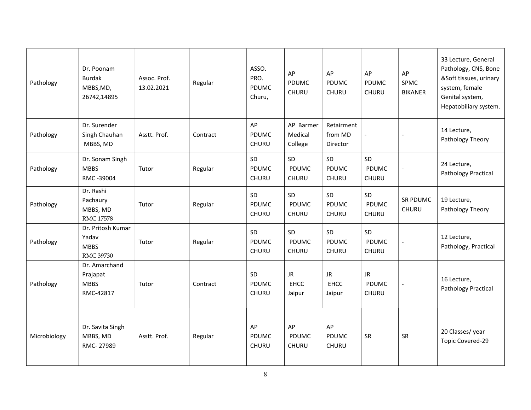| Pathology    | Dr. Poonam<br><b>Burdak</b><br>MBBS, MD,<br>26742,14895 | Assoc. Prof.<br>13.02.2021 | Regular  | ASSO.<br>PRO.<br><b>PDUMC</b><br>Churu, | AP<br><b>PDUMC</b><br>CHURU               | AP<br><b>PDUMC</b><br>CHURU        | AP<br><b>PDUMC</b><br>CHURU        | AP<br><b>SPMC</b><br><b>BIKANER</b> | 33 Lecture, General<br>Pathology, CNS, Bone<br>&Soft tissues, urinary<br>system, female<br>Genital system,<br>Hepatobiliary system. |
|--------------|---------------------------------------------------------|----------------------------|----------|-----------------------------------------|-------------------------------------------|------------------------------------|------------------------------------|-------------------------------------|-------------------------------------------------------------------------------------------------------------------------------------|
| Pathology    | Dr. Surender<br>Singh Chauhan<br>MBBS, MD               | Asstt. Prof.               | Contract | AP<br><b>PDUMC</b><br><b>CHURU</b>      | AP Barmer<br>Medical<br>College           | Retairment<br>from MD<br>Director  |                                    | $\overline{\phantom{a}}$            | 14 Lecture,<br>Pathology Theory                                                                                                     |
| Pathology    | Dr. Sonam Singh<br><b>MBBS</b><br>RMC -39004            | Tutor                      | Regular  | SD<br><b>PDUMC</b><br>CHURU             | <b>SD</b><br><b>PDUMC</b><br><b>CHURU</b> | <b>SD</b><br>PDUMC<br><b>CHURU</b> | SD<br>PDUMC<br><b>CHURU</b>        | $\blacksquare$                      | 24 Lecture,<br>Pathology Practical                                                                                                  |
| Pathology    | Dr. Rashi<br>Pachaury<br>MBBS, MD<br><b>RMC 17578</b>   | Tutor                      | Regular  | SD<br>PDUMC<br>CHURU                    | SD<br>PDUMC<br><b>CHURU</b>               | SD<br>PDUMC<br><b>CHURU</b>        | SD<br>PDUMC<br><b>CHURU</b>        | SR PDUMC<br><b>CHURU</b>            | 19 Lecture,<br>Pathology Theory                                                                                                     |
| Pathology    | Dr. Pritosh Kumar<br>Yadav<br><b>MBBS</b><br>RMC 39730  | Tutor                      | Regular  | SD<br>PDUMC<br>CHURU                    | <b>SD</b><br><b>PDUMC</b><br><b>CHURU</b> | <b>SD</b><br>PDUMC<br><b>CHURU</b> | SD<br><b>PDUMC</b><br><b>CHURU</b> |                                     | 12 Lecture,<br>Pathology, Practical                                                                                                 |
| Pathology    | Dr. Amarchand<br>Prajapat<br><b>MBBS</b><br>RMC-42817   | Tutor                      | Contract | SD<br>PDUMC<br>CHURU                    | <b>JR</b><br><b>EHCC</b><br>Jaipur        | <b>JR</b><br><b>EHCC</b><br>Jaipur | <b>JR</b><br>PDUMC<br><b>CHURU</b> |                                     | 16 Lecture,<br>Pathology Practical                                                                                                  |
| Microbiology | Dr. Savita Singh<br>MBBS, MD<br>RMC-27989               | Asstt. Prof.               | Regular  | AP<br>PDUMC<br>CHURU                    | AP<br>PDUMC<br><b>CHURU</b>               | AP<br>PDUMC<br><b>CHURU</b>        | SR                                 | SR                                  | 20 Classes/year<br>Topic Covered-29                                                                                                 |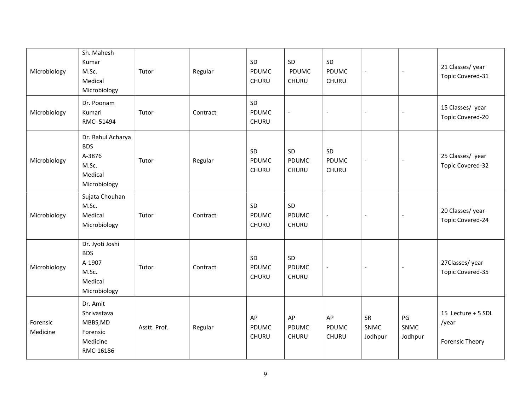| Microbiology         | Sh. Mahesh<br>Kumar<br>M.Sc.<br>Medical<br>Microbiology                       | Tutor        | Regular  | SD<br>PDUMC<br>CHURU | SD<br>PDUMC<br><b>CHURU</b>        | SD<br><b>PDUMC</b><br><b>CHURU</b> | $\blacksquare$               | $\overline{\phantom{a}}$     | 21 Classes/year<br>Topic Covered-31                   |
|----------------------|-------------------------------------------------------------------------------|--------------|----------|----------------------|------------------------------------|------------------------------------|------------------------------|------------------------------|-------------------------------------------------------|
| Microbiology         | Dr. Poonam<br>Kumari<br>RMC-51494                                             | Tutor        | Contract | SD<br>PDUMC<br>CHURU | $\overline{a}$                     | $\overline{a}$                     | $\overline{a}$               |                              | 15 Classes/ year<br>Topic Covered-20                  |
| Microbiology         | Dr. Rahul Acharya<br><b>BDS</b><br>A-3876<br>M.Sc.<br>Medical<br>Microbiology | Tutor        | Regular  | SD<br>PDUMC<br>CHURU | SD<br>PDUMC<br><b>CHURU</b>        | SD<br><b>PDUMC</b><br>CHURU        | $\blacksquare$               | $\overline{\phantom{a}}$     | 25 Classes/ year<br>Topic Covered-32                  |
| Microbiology         | Sujata Chouhan<br>M.Sc.<br>Medical<br>Microbiology                            | Tutor        | Contract | SD<br>PDUMC<br>CHURU | SD<br><b>PDUMC</b><br>CHURU        | $\blacksquare$                     | $\overline{\phantom{a}}$     | $\overline{\phantom{a}}$     | 20 Classes/year<br>Topic Covered-24                   |
| Microbiology         | Dr. Jyoti Joshi<br><b>BDS</b><br>A-1907<br>M.Sc.<br>Medical<br>Microbiology   | Tutor        | Contract | SD<br>PDUMC<br>CHURU | SD<br><b>PDUMC</b><br><b>CHURU</b> |                                    |                              | $\overline{\phantom{a}}$     | 27Classes/year<br>Topic Covered-35                    |
| Forensic<br>Medicine | Dr. Amit<br>Shrivastava<br>MBBS, MD<br>Forensic<br>Medicine<br>RMC-16186      | Asstt. Prof. | Regular  | AP<br>PDUMC<br>CHURU | AP<br><b>PDUMC</b><br><b>CHURU</b> | AP<br><b>PDUMC</b><br><b>CHURU</b> | SR<br><b>SNMC</b><br>Jodhpur | PG<br><b>SNMC</b><br>Jodhpur | 15 Lecture + 5 SDL<br>/year<br><b>Forensic Theory</b> |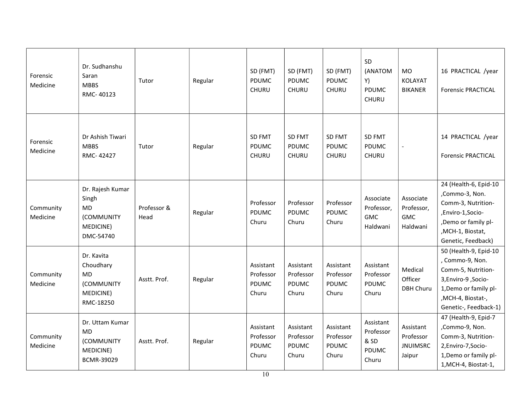| Forensic<br>Medicine  | Dr. Sudhanshu<br>Saran<br><b>MBBS</b><br>RMC-40123                             | Tutor               | Regular | SD (FMT)<br>PDUMC<br>CHURU               | SD (FMT)<br>PDUMC<br><b>CHURU</b>        | SD (FMT)<br><b>PDUMC</b><br><b>CHURU</b> | SD<br>(ANATOM<br>Y)<br>PDUMC<br>CHURU             | <b>MO</b><br><b>KOLAYAT</b><br><b>BIKANER</b>       | 16 PRACTICAL /year<br><b>Forensic PRACTICAL</b>                                                                                                              |
|-----------------------|--------------------------------------------------------------------------------|---------------------|---------|------------------------------------------|------------------------------------------|------------------------------------------|---------------------------------------------------|-----------------------------------------------------|--------------------------------------------------------------------------------------------------------------------------------------------------------------|
| Forensic<br>Medicine  | Dr Ashish Tiwari<br><b>MBBS</b><br>RMC-42427                                   | Tutor               | Regular | SD FMT<br>PDUMC<br>CHURU                 | SD FMT<br>PDUMC<br>CHURU                 | SD FMT<br>PDUMC<br>CHURU                 | <b>SD FMT</b><br><b>PDUMC</b><br>CHURU            |                                                     | 14 PRACTICAL /year<br><b>Forensic PRACTICAL</b>                                                                                                              |
| Community<br>Medicine | Dr. Rajesh Kumar<br>Singh<br><b>MD</b><br>(COMMUNITY<br>MEDICINE)<br>DMC-54740 | Professor &<br>Head | Regular | Professor<br>PDUMC<br>Churu              | Professor<br>PDUMC<br>Churu              | Professor<br><b>PDUMC</b><br>Churu       | Associate<br>Professor,<br><b>GMC</b><br>Haldwani | Associate<br>Professor,<br><b>GMC</b><br>Haldwani   | 24 (Health-6, Epid-10<br>,Commo-3, Non.<br>Comm-3, Nutrition-<br>,Enviro-1,Socio-<br>,Demo or family pl-<br>, MCH-1, Biostat,<br>Genetic, Feedback)          |
| Community<br>Medicine | Dr. Kavita<br>Choudhary<br><b>MD</b><br>(COMMUNITY<br>MEDICINE)<br>RMC-18250   | Asstt. Prof.        | Regular | Assistant<br>Professor<br>PDUMC<br>Churu | Assistant<br>Professor<br>PDUMC<br>Churu | Assistant<br>Professor<br>PDUMC<br>Churu | Assistant<br>Professor<br><b>PDUMC</b><br>Churu   | Medical<br>Officer<br>DBH Churu                     | 50 (Health-9, Epid-10<br>, Commo-9, Non.<br>Comm-5, Nutrition-<br>3, Enviro-9, Socio-<br>1, Demo or family pl-<br>,MCH-4, Biostat-,<br>Genetic-, Feedback-1) |
| Community<br>Medicine | Dr. Uttam Kumar<br><b>MD</b><br>(COMMUNITY<br>MEDICINE)<br>BCMR-39029          | Asstt. Prof.        | Regular | Assistant<br>Professor<br>PDUMC<br>Churu | Assistant<br>Professor<br>PDUMC<br>Churu | Assistant<br>Professor<br>PDUMC<br>Churu | Assistant<br>Professor<br>& SD<br>PDUMC<br>Churu  | Assistant<br>Professor<br><b>JNUIMSRC</b><br>Jaipur | 47 (Health-9, Epid-7<br>,Commo-9, Non.<br>Comm-3, Nutrition-<br>2, Enviro-7, Socio-<br>1, Demo or family pl-<br>1, MCH-4, Biostat-1,                         |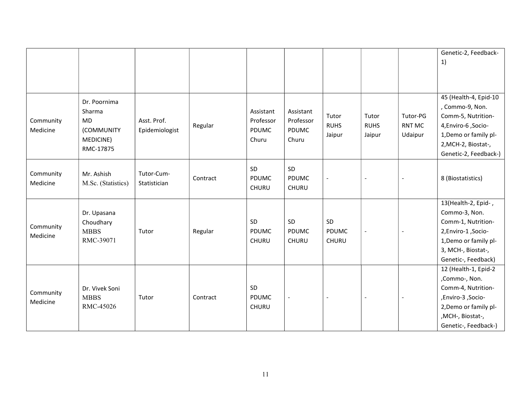|                       |                                                                             |                               |          |                                          |                                                 |                                |                                |                               | Genetic-2, Feedback-<br>1)                                                                                                                                   |
|-----------------------|-----------------------------------------------------------------------------|-------------------------------|----------|------------------------------------------|-------------------------------------------------|--------------------------------|--------------------------------|-------------------------------|--------------------------------------------------------------------------------------------------------------------------------------------------------------|
| Community<br>Medicine | Dr. Poornima<br>Sharma<br><b>MD</b><br>(COMMUNITY<br>MEDICINE)<br>RMC-17875 | Asst. Prof.<br>Epidemiologist | Regular  | Assistant<br>Professor<br>PDUMC<br>Churu | Assistant<br>Professor<br><b>PDUMC</b><br>Churu | Tutor<br><b>RUHS</b><br>Jaipur | Tutor<br><b>RUHS</b><br>Jaipur | Tutor-PG<br>RNT MC<br>Udaipur | 45 (Health-4, Epid-10<br>, Commo-9, Non.<br>Comm-5, Nutrition-<br>4,Enviro-6,Socio-<br>1, Demo or family pl-<br>2, MCH-2, Biostat-,<br>Genetic-2, Feedback-) |
| Community<br>Medicine | Mr. Ashish<br>M.Sc. (Statistics)                                            | Tutor-Cum-<br>Statistician    | Contract | SD<br>PDUMC<br><b>CHURU</b>              | SD<br>PDUMC<br><b>CHURU</b>                     | $\overline{\phantom{a}}$       | $\overline{\phantom{a}}$       | $\overline{\phantom{a}}$      | 8 (Biostatistics)                                                                                                                                            |
| Community<br>Medicine | Dr. Upasana<br>Choudhary<br><b>MBBS</b><br>RMC-39071                        | Tutor                         | Regular  | SD<br><b>PDUMC</b><br><b>CHURU</b>       | SD<br>PDUMC<br><b>CHURU</b>                     | SD<br>PDUMC<br>CHURU           | $\overline{\phantom{a}}$       | $\overline{\phantom{a}}$      | 13(Health-2, Epid-,<br>Commo-3, Non.<br>Comm-1, Nutrition-<br>2, Enviro-1, Socio-<br>1, Demo or family pl-<br>3, MCH-, Biostat-,<br>Genetic-, Feedback)      |
| Community<br>Medicine | Dr. Vivek Soni<br><b>MBBS</b><br>RMC-45026                                  | Tutor                         | Contract | SD<br>PDUMC<br>CHURU                     | $\blacksquare$                                  |                                |                                |                               | 12 (Health-1, Epid-2<br>,Commo-, Non.<br>Comm-4, Nutrition-<br>-Socio, Enviro-3,<br>2, Demo or family pl-<br>,MCH-, Biostat-,<br>Genetic-, Feedback-)        |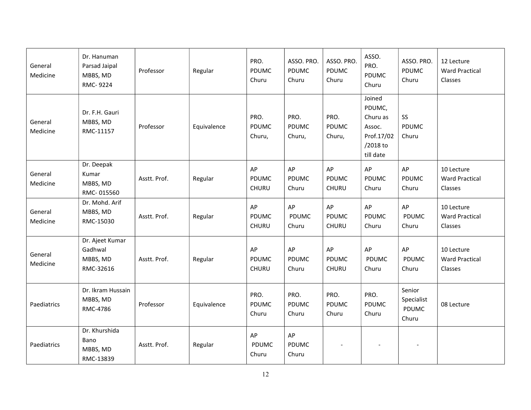| General<br>Medicine | Dr. Hanuman<br>Parsad Jaipal<br>MBBS, MD<br>RMC-9224 | Professor    | Regular     | PRO.<br>PDUMC<br>Churu        | ASSO. PRO.<br><b>PDUMC</b><br>Churu | ASSO. PRO.<br>PDUMC<br>Churu   | ASSO.<br>PRO.<br>PDUMC<br>Churu                                               | ASSO. PRO.<br>PDUMC<br>Churu                  | 12 Lecture<br><b>Ward Practical</b><br>Classes |
|---------------------|------------------------------------------------------|--------------|-------------|-------------------------------|-------------------------------------|--------------------------------|-------------------------------------------------------------------------------|-----------------------------------------------|------------------------------------------------|
| General<br>Medicine | Dr. F.H. Gauri<br>MBBS, MD<br>RMC-11157              | Professor    | Equivalence | PRO.<br>PDUMC<br>Churu,       | PRO.<br>PDUMC<br>Churu,             | PRO.<br><b>PDUMC</b><br>Churu, | Joined<br>PDUMC,<br>Churu as<br>Assoc.<br>Prof.17/02<br>/2018 to<br>till date | SS<br><b>PDUMC</b><br>Churu                   |                                                |
| General<br>Medicine | Dr. Deepak<br>Kumar<br>MBBS, MD<br>RMC-015560        | Asstt. Prof. | Regular     | AP<br>PDUMC<br>CHURU          | AP<br><b>PDUMC</b><br>Churu         | AP<br>PDUMC<br><b>CHURU</b>    | AP<br>PDUMC<br>Churu                                                          | AP<br><b>PDUMC</b><br>Churu                   | 10 Lecture<br><b>Ward Practical</b><br>Classes |
| General<br>Medicine | Dr. Mohd. Arif<br>MBBS, MD<br>RMC-15030              | Asstt. Prof. | Regular     | AP<br>PDUMC<br>CHURU          | AP<br>PDUMC<br>Churu                | AP<br>PDUMC<br>CHURU           | AP<br>PDUMC<br>Churu                                                          | AP<br><b>PDUMC</b><br>Churu                   | 10 Lecture<br><b>Ward Practical</b><br>Classes |
| General<br>Medicine | Dr. Ajeet Kumar<br>Gadhwal<br>MBBS, MD<br>RMC-32616  | Asstt. Prof. | Regular     | AP<br>PDUMC<br>CHURU          | AP<br>PDUMC<br>Churu                | AP<br>PDUMC<br>CHURU           | AP<br>PDUMC<br>Churu                                                          | AP<br><b>PDUMC</b><br>Churu                   | 10 Lecture<br><b>Ward Practical</b><br>Classes |
| Paediatrics         | Dr. Ikram Hussain<br>MBBS, MD<br>RMC-4786            | Professor    | Equivalence | PRO.<br><b>PDUMC</b><br>Churu | PRO.<br><b>PDUMC</b><br>Churu       | PRO.<br><b>PDUMC</b><br>Churu  | PRO.<br><b>PDUMC</b><br>Churu                                                 | Senior<br>Specialist<br><b>PDUMC</b><br>Churu | 08 Lecture                                     |
| Paediatrics         | Dr. Khurshida<br>Bano<br>MBBS, MD<br>RMC-13839       | Asstt. Prof. | Regular     | AP<br>PDUMC<br>Churu          | AP<br><b>PDUMC</b><br>Churu         |                                |                                                                               |                                               |                                                |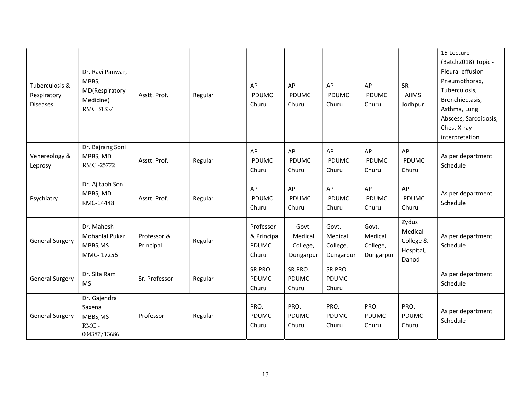| Tuberculosis &<br>Respiratory<br><b>Diseases</b> | Dr. Ravi Panwar,<br>MBBS,<br>MD(Respiratory<br>Medicine)<br>RMC 31337 | Asstt. Prof.             | Regular | AP<br><b>PDUMC</b><br>Churu                       | AP<br>PDUMC<br>Churu                      | AP<br>PDUMC<br>Churu                      | AP<br><b>PDUMC</b><br>Churu               | SR<br><b>AIIMS</b><br>Jodhpur                       | 15 Lecture<br>(Batch2018) Topic -<br>Pleural effusion<br>Pneumothorax,<br>Tuberculosis,<br>Bronchiectasis,<br>Asthma, Lung<br>Abscess, Sarcoidosis,<br>Chest X-ray<br>interpretation |
|--------------------------------------------------|-----------------------------------------------------------------------|--------------------------|---------|---------------------------------------------------|-------------------------------------------|-------------------------------------------|-------------------------------------------|-----------------------------------------------------|--------------------------------------------------------------------------------------------------------------------------------------------------------------------------------------|
| Venereology &<br>Leprosy                         | Dr. Bajrang Soni<br>MBBS, MD<br>RMC -25772                            | Asstt. Prof.             | Regular | AP<br>PDUMC<br>Churu                              | AP<br><b>PDUMC</b><br>Churu               | AP<br><b>PDUMC</b><br>Churu               | AP<br><b>PDUMC</b><br>Churu               | AP<br><b>PDUMC</b><br>Churu                         | As per department<br>Schedule                                                                                                                                                        |
| Psychiatry                                       | Dr. Ajitabh Soni<br>MBBS, MD<br>RMC-14448                             | Asstt. Prof.             | Regular | AP<br>PDUMC<br>Churu                              | AP<br><b>PDUMC</b><br>Churu               | AP<br><b>PDUMC</b><br>Churu               | AP<br>PDUMC<br>Churu                      | AP<br><b>PDUMC</b><br>Churu                         | As per department<br>Schedule                                                                                                                                                        |
| <b>General Surgery</b>                           | Dr. Mahesh<br>Mohanlal Pukar<br>MBBS, MS<br>MMC-17256                 | Professor &<br>Principal | Regular | Professor<br>& Principal<br><b>PDUMC</b><br>Churu | Govt.<br>Medical<br>College,<br>Dungarpur | Govt.<br>Medical<br>College,<br>Dungarpur | Govt.<br>Medical<br>College,<br>Dungarpur | Zydus<br>Medical<br>College &<br>Hospital,<br>Dahod | As per department<br>Schedule                                                                                                                                                        |
| <b>General Surgery</b>                           | Dr. Sita Ram<br><b>MS</b>                                             | Sr. Professor            | Regular | SR.PRO.<br>PDUMC<br>Churu                         | SR.PRO.<br>PDUMC<br>Churu                 | SR.PRO.<br><b>PDUMC</b><br>Churu          |                                           |                                                     | As per department<br>Schedule                                                                                                                                                        |
| <b>General Surgery</b>                           | Dr. Gajendra<br>Saxena<br>MBBS, MS<br>RMC-<br>004387/13686            | Professor                | Regular | PRO.<br>PDUMC<br>Churu                            | PRO.<br><b>PDUMC</b><br>Churu             | PRO.<br><b>PDUMC</b><br>Churu             | PRO.<br><b>PDUMC</b><br>Churu             | PRO.<br>PDUMC<br>Churu                              | As per department<br>Schedule                                                                                                                                                        |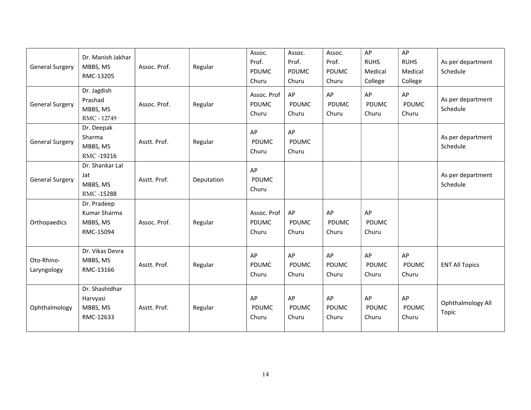| <b>General Surgery</b>    | Dr. Manish Jakhar<br>MBBS, MS<br>RMC-13205           | Assoc. Prof. | Regular    | Assoc.<br>Prof.<br>PDUMC<br>Churu | Assoc.<br>Prof.<br>PDUMC<br>Churu | Assoc.<br>Prof.<br>PDUMC<br>Churu | AP<br><b>RUHS</b><br>Medical<br>College | AP<br><b>RUHS</b><br>Medical<br>College | As per department<br>Schedule |
|---------------------------|------------------------------------------------------|--------------|------------|-----------------------------------|-----------------------------------|-----------------------------------|-----------------------------------------|-----------------------------------------|-------------------------------|
| General Surgery           | Dr. Jagdish<br>Prashad<br>MBBS, MS<br>RMC - 12749    | Assoc. Prof. | Regular    | Assoc. Prof<br>PDUMC<br>Churu     | AP<br>PDUMC<br>Churu              | AP<br>PDUMC<br>Churu              | AP<br>PDUMC<br>Churu                    | AP<br>PDUMC<br>Churu                    | As per department<br>Schedule |
| <b>General Surgery</b>    | Dr. Deepak<br>Sharma<br>MBBS, MS<br>RMC-19216        | Asstt. Prof. | Regular    | AP<br><b>PDUMC</b><br>Churu       | AP<br>PDUMC<br>Churu              |                                   |                                         |                                         | As per department<br>Schedule |
| <b>General Surgery</b>    | Dr. Shankar Lal<br>Jat<br>MBBS, MS<br>RMC-15288      | Asstt. Prof. | Deputation | AP<br>PDUMC<br>Churu              |                                   |                                   |                                         |                                         | As per department<br>Schedule |
| Orthopaedics              | Dr. Pradeep<br>Kumar Sharma<br>MBBS, MS<br>RMC-15094 | Assoc. Prof. | Regular    | Assoc. Prof<br>PDUMC<br>Churu     | AP<br>PDUMC<br>Churu              | AP<br>PDUMC<br>Churu              | AP<br><b>PDUMC</b><br>Churu             |                                         |                               |
| Oto-Rhino-<br>Laryngology | Dr. Vikas Devra<br>MBBS, MS<br>RMC-13166             | Asstt. Prof. | Regular    | AP<br>PDUMC<br>Churu              | AP<br><b>PDUMC</b><br>Churu       | AP<br><b>PDUMC</b><br>Churu       | AP<br><b>PDUMC</b><br>Churu             | AP<br><b>PDUMC</b><br>Churu             | <b>ENT All Topics</b>         |
| Ophthalmology             | Dr. Shashidhar<br>Harvyasi<br>MBBS, MS<br>RMC-12633  | Asstt. Prof. | Regular    | AP<br>PDUMC<br>Churu              | AP<br><b>PDUMC</b><br>Churu       | AP<br>PDUMC<br>Churu              | AP<br><b>PDUMC</b><br>Churu             | AP<br><b>PDUMC</b><br>Churu             | Ophthalmology All<br>Topic    |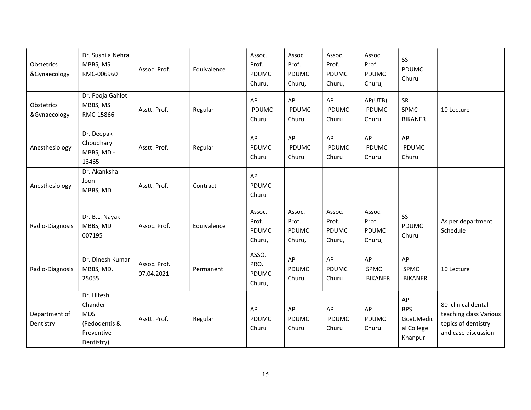| Obstetrics<br>&Gynaecology | Dr. Sushila Nehra<br>MBBS, MS<br>RMC-006960                                      | Assoc. Prof.               | Equivalence | Assoc.<br>Prof.<br><b>PDUMC</b><br>Churu, | Assoc.<br>Prof.<br><b>PDUMC</b><br>Churu, | Assoc.<br>Prof.<br>PDUMC<br>Churu, | Assoc.<br>Prof.<br>PDUMC<br>Churu, | SS<br><b>PDUMC</b><br>Churu                             |                                                                                            |
|----------------------------|----------------------------------------------------------------------------------|----------------------------|-------------|-------------------------------------------|-------------------------------------------|------------------------------------|------------------------------------|---------------------------------------------------------|--------------------------------------------------------------------------------------------|
| Obstetrics<br>&Gynaecology | Dr. Pooja Gahlot<br>MBBS, MS<br>RMC-15866                                        | Asstt. Prof.               | Regular     | AP<br>PDUMC<br>Churu                      | AP<br><b>PDUMC</b><br>Churu               | AP<br><b>PDUMC</b><br>Churu        | AP(UTB)<br>PDUMC<br>Churu          | SR<br><b>SPMC</b><br><b>BIKANER</b>                     | 10 Lecture                                                                                 |
| Anesthesiology             | Dr. Deepak<br>Choudhary<br>MBBS, MD -<br>13465                                   | Asstt. Prof.               | Regular     | AP<br>PDUMC<br>Churu                      | AP<br>PDUMC<br>Churu                      | AP<br>PDUMC<br>Churu               | AP<br><b>PDUMC</b><br>Churu        | AP<br>PDUMC<br>Churu                                    |                                                                                            |
| Anesthesiology             | Dr. Akanksha<br>Joon<br>MBBS, MD                                                 | Asstt. Prof.               | Contract    | AP<br>PDUMC<br>Churu                      |                                           |                                    |                                    |                                                         |                                                                                            |
| Radio-Diagnosis            | Dr. B.L. Nayak<br>MBBS, MD<br>007195                                             | Assoc. Prof.               | Equivalence | Assoc.<br>Prof.<br>PDUMC<br>Churu,        | Assoc.<br>Prof.<br>PDUMC<br>Churu,        | Assoc.<br>Prof.<br>PDUMC<br>Churu, | Assoc.<br>Prof.<br>PDUMC<br>Churu, | SS<br>PDUMC<br>Churu                                    | As per department<br>Schedule                                                              |
| Radio-Diagnosis            | Dr. Dinesh Kumar<br>MBBS, MD,<br>25055                                           | Assoc. Prof.<br>07.04.2021 | Permanent   | ASSO.<br>PRO.<br>PDUMC<br>Churu,          | AP<br>PDUMC<br>Churu                      | AP<br>PDUMC<br>Churu               | AP<br>SPMC<br><b>BIKANER</b>       | AP<br>SPMC<br><b>BIKANER</b>                            | 10 Lecture                                                                                 |
| Department of<br>Dentistry | Dr. Hitesh<br>Chander<br><b>MDS</b><br>(Pedodentis &<br>Preventive<br>Dentistry) | Asstt. Prof.               | Regular     | AP<br>PDUMC<br>Churu                      | AP<br>PDUMC<br>Churu                      | AP<br><b>PDUMC</b><br>Churu        | AP<br>PDUMC<br>Churu               | AP<br><b>BPS</b><br>Govt.Medic<br>al College<br>Khanpur | 80 clinical dental<br>teaching class Various<br>topics of dentistry<br>and case discussion |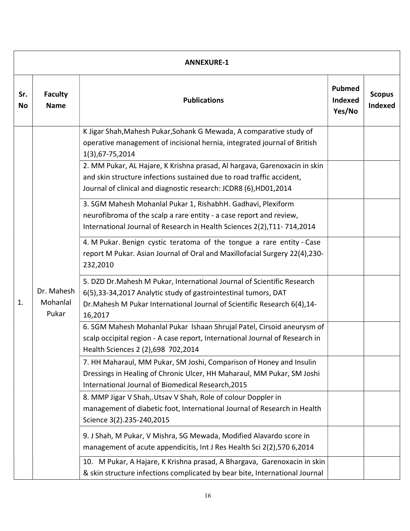|                  | <b>ANNEXURE-1</b>               |                                                                                                                                                                                                                                     |                                    |                                 |  |  |  |  |  |
|------------------|---------------------------------|-------------------------------------------------------------------------------------------------------------------------------------------------------------------------------------------------------------------------------------|------------------------------------|---------------------------------|--|--|--|--|--|
| Sr.<br><b>No</b> | <b>Faculty</b><br><b>Name</b>   | <b>Publications</b>                                                                                                                                                                                                                 | <b>Pubmed</b><br>Indexed<br>Yes/No | <b>Scopus</b><br><b>Indexed</b> |  |  |  |  |  |
|                  |                                 | K Jigar Shah, Mahesh Pukar, Sohank G Mewada, A comparative study of<br>operative management of incisional hernia, integrated journal of British<br>1(3), 67-75, 2014                                                                |                                    |                                 |  |  |  |  |  |
|                  | Dr. Mahesh<br>Mohanlal<br>Pukar | 2. MM Pukar, AL Hajare, K Krishna prasad, Al hargava, Garenoxacin in skin<br>and skin structure infections sustained due to road traffic accident,<br>Journal of clinical and diagnostic research: JCDR8 (6), HD01, 2014            |                                    |                                 |  |  |  |  |  |
|                  |                                 | 3. SGM Mahesh Mohanlal Pukar 1, RishabhH. Gadhavi, Plexiform<br>neurofibroma of the scalp a rare entity - a case report and review,<br>International Journal of Research in Health Sciences 2(2), T11-714, 2014                     |                                    |                                 |  |  |  |  |  |
|                  |                                 | 4. M Pukar. Benign cystic teratoma of the tongue a rare entity - Case<br>report M Pukar. Asian Journal of Oral and Maxillofacial Surgery 22(4),230-<br>232,2010                                                                     |                                    |                                 |  |  |  |  |  |
| 1.               |                                 | 5. DZD Dr. Mahesh M Pukar, International Journal of Scientific Research<br>6(5), 33-34, 2017 Analytic study of gastrointestinal tumors, DAT<br>Dr. Mahesh M Pukar International Journal of Scientific Research 6(4), 14-<br>16,2017 |                                    |                                 |  |  |  |  |  |
|                  |                                 | 6. SGM Mahesh Mohanlal Pukar Ishaan Shrujal Patel, Cirsoid aneurysm of<br>scalp occipital region - A case report, International Journal of Research in<br>Health Sciences 2 (2),698 702,2014                                        |                                    |                                 |  |  |  |  |  |
|                  |                                 | 7. HH Maharaul, MM Pukar, SM Joshi, Comparison of Honey and Insulin<br>Dressings in Healing of Chronic Ulcer, HH Maharaul, MM Pukar, SM Joshi<br>International Journal of Biomedical Research, 2015                                 |                                    |                                 |  |  |  |  |  |
|                  |                                 | 8. MMP Jigar V Shah, Utsav V Shah, Role of colour Doppler in<br>management of diabetic foot, International Journal of Research in Health<br>Science 3(2).235-240,2015                                                               |                                    |                                 |  |  |  |  |  |
|                  |                                 | 9. J Shah, M Pukar, V Mishra, SG Mewada, Modified Alavardo score in<br>management of acute appendicitis, Int J Res Health Sci 2(2),570 6,2014                                                                                       |                                    |                                 |  |  |  |  |  |
|                  |                                 | 10. M Pukar, A Hajare, K Krishna prasad, A Bhargava, Garenoxacin in skin<br>& skin structure infections complicated by bear bite, International Journal                                                                             |                                    |                                 |  |  |  |  |  |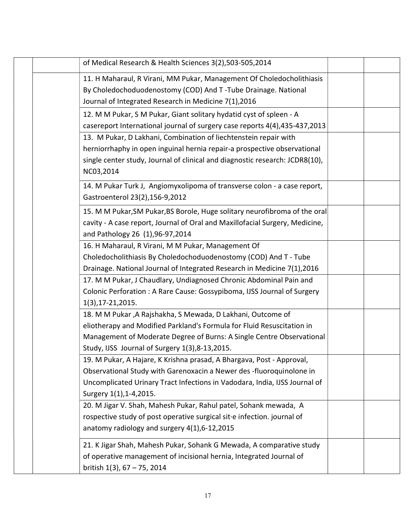| of Medical Research & Health Sciences 3(2),503-505,2014                                                                                                                                                                                                            |  |
|--------------------------------------------------------------------------------------------------------------------------------------------------------------------------------------------------------------------------------------------------------------------|--|
| 11. H Maharaul, R Virani, MM Pukar, Management Of Choledocholithiasis<br>By Choledochoduodenostomy (COD) And T-Tube Drainage. National<br>Journal of Integrated Research in Medicine 7(1),2016                                                                     |  |
| 12. M M Pukar, S M Pukar, Giant solitary hydatid cyst of spleen - A<br>casereport International journal of surgery case reports 4(4),435-437,2013                                                                                                                  |  |
| 13. M Pukar, D Lakhani, Combination of liechtenstein repair with<br>herniorrhaphy in open inguinal hernia repair-a prospective observational<br>single center study, Journal of clinical and diagnostic research: JCDR8(10),<br>NC03,2014                          |  |
| 14. M Pukar Turk J, Angiomyxolipoma of transverse colon - a case report,<br>Gastroenterol 23(2), 156-9, 2012                                                                                                                                                       |  |
| 15. M M Pukar, SM Pukar, BS Borole, Huge solitary neurofibroma of the oral<br>cavity - A case report, Journal of Oral and Maxillofacial Surgery, Medicine,<br>and Pathology 26 (1), 96-97, 2014                                                                    |  |
| 16. H Maharaul, R Virani, M M Pukar, Management Of<br>Choledocholithiasis By Choledochoduodenostomy (COD) And T - Tube<br>Drainage. National Journal of Integrated Research in Medicine 7(1),2016                                                                  |  |
| 17. M M Pukar, J Chaudlary, Undiagnosed Chronic Abdominal Pain and<br>Colonic Perforation : A Rare Cause: Gossypiboma, IJSS Journal of Surgery<br>1(3), 17-21, 2015.                                                                                               |  |
| 18. M M Pukar, A Rajshakha, S Mewada, D Lakhani, Outcome of<br>eliotherapy and Modified Parkland's Formula for Fluid Resuscitation in<br>Management of Moderate Degree of Burns: A Single Centre Observational<br>Study, IJSS Journal of Surgery 1(3), 8-13, 2015. |  |
| 19. M Pukar, A Hajare, K Krishna prasad, A Bhargava, Post - Approval,<br>Observational Study with Garenoxacin a Newer des -fluoroquinolone in<br>Uncomplicated Urinary Tract Infections in Vadodara, India, IJSS Journal of<br>Surgery 1(1), 1-4, 2015.            |  |
| 20. M Jigar V. Shah, Mahesh Pukar, Rahul patel, Sohank mewada, A<br>rospective study of post operative surgical sit e infection. journal of<br>anatomy radiology and surgery 4(1), 6-12, 2015                                                                      |  |
| 21. K Jigar Shah, Mahesh Pukar, Sohank G Mewada, A comparative study<br>of operative management of incisional hernia, Integrated Journal of<br>british $1(3)$ , 67 - 75, 2014                                                                                      |  |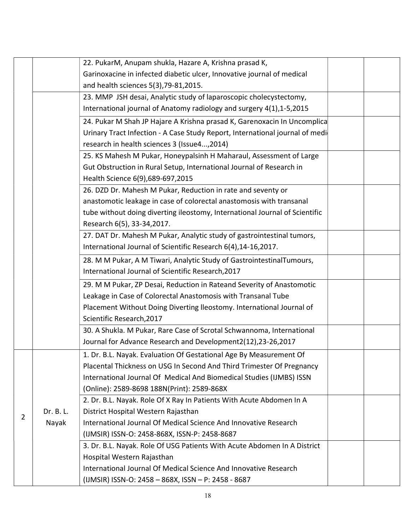|   |           | 22. PukarM, Anupam shukla, Hazare A, Krishna prasad K,                       |  |
|---|-----------|------------------------------------------------------------------------------|--|
|   |           | Garinoxacine in infected diabetic ulcer, Innovative journal of medical       |  |
|   |           | and health sciences 5(3), 79-81, 2015.                                       |  |
|   |           | 23. MMP JSH desai, Analytic study of laparoscopic cholecystectomy,           |  |
|   |           | International journal of Anatomy radiology and surgery 4(1), 1-5, 2015       |  |
|   |           | 24. Pukar M Shah JP Hajare A Krishna prasad K, Garenoxacin In Uncomplica     |  |
|   |           | Urinary Tract Infection - A Case Study Report, International journal of medi |  |
|   |           | research in health sciences 3 (Issue4,2014)                                  |  |
|   |           | 25. KS Mahesh M Pukar, Honeypalsinh H Maharaul, Assessment of Large          |  |
|   |           | Gut Obstruction in Rural Setup, International Journal of Research in         |  |
|   |           | Health Science 6(9), 689-697, 2015                                           |  |
|   |           | 26. DZD Dr. Mahesh M Pukar, Reduction in rate and seventy or                 |  |
|   |           | anastomotic leakage in case of colorectal anastomosis with transanal         |  |
|   |           | tube without doing diverting ileostomy, International Journal of Scientific  |  |
|   |           | Research 6(5), 33-34, 2017.                                                  |  |
|   |           | 27. DAT Dr. Mahesh M Pukar, Analytic study of gastrointestinal tumors,       |  |
|   |           | International Journal of Scientific Research 6(4), 14-16, 2017.              |  |
|   |           | 28. M M Pukar, A M Tiwari, Analytic Study of GastrointestinalTumours,        |  |
|   |           | International Journal of Scientific Research, 2017                           |  |
|   |           | 29. M M Pukar, ZP Desai, Reduction in Rateand Severity of Anastomotic        |  |
|   |           | Leakage in Case of Colorectal Anastomosis with Transanal Tube                |  |
|   |           | Placement Without Doing Diverting Ileostomy. International Journal of        |  |
|   |           | Scientific Research, 2017                                                    |  |
|   |           | 30. A Shukla. M Pukar, Rare Case of Scrotal Schwannoma, International        |  |
|   |           | Journal for Advance Research and Development2(12),23-26,2017                 |  |
|   |           | 1. Dr. B.L. Nayak. Evaluation Of Gestational Age By Measurement Of           |  |
|   |           | Placental Thickness on USG In Second And Third Trimester Of Pregnancy        |  |
|   |           | International Journal Of Medical And Biomedical Studies (IJMBS) ISSN         |  |
|   |           | (Online): 2589-8698 188N(Print): 2589-868X                                   |  |
|   |           | 2. Dr. B.L. Nayak. Role Of X Ray In Patients With Acute Abdomen In A         |  |
| 2 | Dr. B. L. | District Hospital Western Rajasthan                                          |  |
|   | Nayak     | International Journal Of Medical Science And Innovative Research             |  |
|   |           | (IJMSIR) ISSN-O: 2458-868X, ISSN-P: 2458-8687                                |  |
|   |           | 3. Dr. B.L. Nayak. Role Of USG Patients With Acute Abdomen In A District     |  |
|   |           | Hospital Western Rajasthan                                                   |  |
|   |           | International Journal Of Medical Science And Innovative Research             |  |
|   |           | (IJMSIR) ISSN-O: 2458 - 868X, ISSN - P: 2458 - 8687                          |  |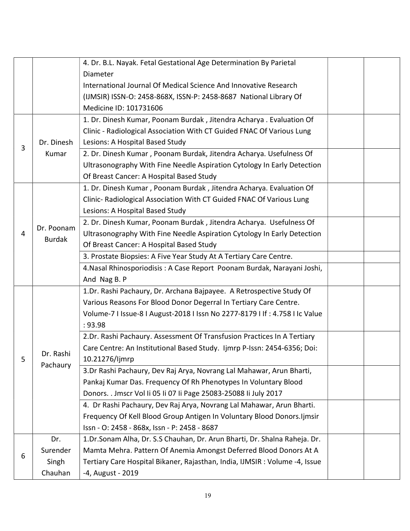|   |               | 4. Dr. B.L. Nayak. Fetal Gestational Age Determination By Parietal          |  |
|---|---------------|-----------------------------------------------------------------------------|--|
|   |               | Diameter                                                                    |  |
|   |               | International Journal Of Medical Science And Innovative Research            |  |
|   |               | (IJMSIR) ISSN-O: 2458-868X, ISSN-P: 2458-8687 National Library Of           |  |
|   |               | Medicine ID: 101731606                                                      |  |
|   |               | 1. Dr. Dinesh Kumar, Poonam Burdak, Jitendra Acharya. Evaluation Of         |  |
|   |               | Clinic - Radiological Association With CT Guided FNAC Of Various Lung       |  |
| 3 | Dr. Dinesh    | Lesions: A Hospital Based Study                                             |  |
|   | Kumar         | 2. Dr. Dinesh Kumar, Poonam Burdak, Jitendra Acharya. Usefulness Of         |  |
|   |               | Ultrasonography With Fine Needle Aspiration Cytology In Early Detection     |  |
|   |               | Of Breast Cancer: A Hospital Based Study                                    |  |
|   |               | 1. Dr. Dinesh Kumar, Poonam Burdak, Jitendra Acharya. Evaluation Of         |  |
|   |               | Clinic- Radiological Association With CT Guided FNAC Of Various Lung        |  |
|   |               | Lesions: A Hospital Based Study                                             |  |
|   |               | 2. Dr. Dinesh Kumar, Poonam Burdak, Jitendra Acharya. Usefulness Of         |  |
| 4 | Dr. Poonam    | Ultrasonography With Fine Needle Aspiration Cytology In Early Detection     |  |
|   | <b>Burdak</b> | Of Breast Cancer: A Hospital Based Study                                    |  |
|   |               | 3. Prostate Biopsies: A Five Year Study At A Tertiary Care Centre.          |  |
|   |               | 4. Nasal Rhinosporiodisis: A Case Report Poonam Burdak, Narayani Joshi,     |  |
|   |               | And Nag B. P                                                                |  |
|   |               | 1.Dr. Rashi Pachaury, Dr. Archana Bajpayee. A Retrospective Study Of        |  |
|   |               | Various Reasons For Blood Donor Degerral In Tertiary Care Centre.           |  |
|   |               | Volume-7 I Issue-8 I August-2018 I Issn No 2277-8179 I If: 4.758 I Ic Value |  |
|   |               | : 93.98                                                                     |  |
|   |               | 2.Dr. Rashi Pachaury. Assessment Of Transfusion Practices In A Tertiary     |  |
|   |               | Care Centre: An Institutional Based Study. Ijmrp P-Issn: 2454-6356; Doi:    |  |
| 5 | Dr. Rashi     | 10.21276/Ijmrp                                                              |  |
|   | Pachaury      | 3.Dr Rashi Pachaury, Dev Raj Arya, Novrang Lal Mahawar, Arun Bharti,        |  |
|   |               | Pankaj Kumar Das. Frequency Of Rh Phenotypes In Voluntary Blood             |  |
|   |               | Donors. . Jmscr Vol Ii 05 Ii 07 Ii Page 25083-25088 Ii July 2017            |  |
|   |               | 4. Dr Rashi Pachaury, Dev Raj Arya, Novrang Lal Mahawar, Arun Bharti.       |  |
|   |               | Frequency Of Kell Blood Group Antigen In Voluntary Blood Donors. Ijmsir     |  |
|   |               | Issn - O: 2458 - 868x, Issn - P: 2458 - 8687                                |  |
|   | Dr.           | 1.Dr.Sonam Alha, Dr. S.S Chauhan, Dr. Arun Bharti, Dr. Shalna Raheja. Dr.   |  |
|   | Surender      | Mamta Mehra. Pattern Of Anemia Amongst Deferred Blood Donors At A           |  |
| 6 | Singh         | Tertiary Care Hospital Bikaner, Rajasthan, India, IJMSIR: Volume -4, Issue  |  |
|   | Chauhan       | -4, August - 2019                                                           |  |
|   |               |                                                                             |  |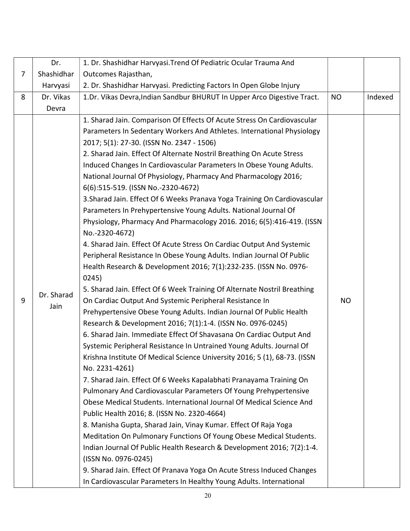|                | Dr.        | 1. Dr. Shashidhar Harvyasi. Trend Of Pediatric Ocular Trauma And                  |           |         |
|----------------|------------|-----------------------------------------------------------------------------------|-----------|---------|
| $\overline{7}$ | Shashidhar | Outcomes Rajasthan,                                                               |           |         |
|                | Harvyasi   | 2. Dr. Shashidhar Harvyasi. Predicting Factors In Open Globe Injury               |           |         |
| 8              | Dr. Vikas  | 1.Dr. Vikas Devra, Indian Sandbur BHURUT In Upper Arco Digestive Tract.           | <b>NO</b> | Indexed |
|                | Devra      |                                                                                   |           |         |
|                |            | 1. Sharad Jain. Comparison Of Effects Of Acute Stress On Cardiovascular           |           |         |
|                |            | Parameters In Sedentary Workers And Athletes. International Physiology            |           |         |
|                |            | 2017; 5(1): 27-30. (ISSN No. 2347 - 1506)                                         |           |         |
|                |            | 2. Sharad Jain. Effect Of Alternate Nostril Breathing On Acute Stress             |           |         |
|                |            | Induced Changes In Cardiovascular Parameters In Obese Young Adults.               |           |         |
|                |            | National Journal Of Physiology, Pharmacy And Pharmacology 2016;                   |           |         |
|                |            | 6(6):515-519. (ISSN No.-2320-4672)                                                |           |         |
|                |            | 3. Sharad Jain. Effect Of 6 Weeks Pranava Yoga Training On Cardiovascular         |           |         |
|                |            | Parameters In Prehypertensive Young Adults. National Journal Of                   |           |         |
|                |            | Physiology, Pharmacy And Pharmacology 2016. 2016; 6(5):416-419. (ISSN             |           |         |
|                |            | No.-2320-4672)                                                                    |           |         |
|                |            | 4. Sharad Jain. Effect Of Acute Stress On Cardiac Output And Systemic             |           |         |
|                |            | Peripheral Resistance In Obese Young Adults. Indian Journal Of Public             |           |         |
|                |            | Health Research & Development 2016; 7(1):232-235. (ISSN No. 0976-                 |           |         |
|                |            | 0245)<br>5. Sharad Jain. Effect Of 6 Week Training Of Alternate Nostril Breathing |           |         |
| 9              | Dr. Sharad | On Cardiac Output And Systemic Peripheral Resistance In                           | <b>NO</b> |         |
|                | Jain       | Prehypertensive Obese Young Adults. Indian Journal Of Public Health               |           |         |
|                |            | Research & Development 2016; 7(1):1-4. (ISSN No. 0976-0245)                       |           |         |
|                |            | 6. Sharad Jain. Immediate Effect Of Shavasana On Cardiac Output And               |           |         |
|                |            | Systemic Peripheral Resistance In Untrained Young Adults. Journal Of              |           |         |
|                |            | Krishna Institute Of Medical Science University 2016; 5 (1), 68-73. (ISSN         |           |         |
|                |            | No. 2231-4261)                                                                    |           |         |
|                |            | 7. Sharad Jain. Effect Of 6 Weeks Kapalabhati Pranayama Training On               |           |         |
|                |            | Pulmonary And Cardiovascular Parameters Of Young Prehypertensive                  |           |         |
|                |            | Obese Medical Students. International Journal Of Medical Science And              |           |         |
|                |            | Public Health 2016; 8. (ISSN No. 2320-4664)                                       |           |         |
|                |            | 8. Manisha Gupta, Sharad Jain, Vinay Kumar. Effect Of Raja Yoga                   |           |         |
|                |            | Meditation On Pulmonary Functions Of Young Obese Medical Students.                |           |         |
|                |            | Indian Journal Of Public Health Research & Development 2016; 7(2):1-4.            |           |         |
|                |            | (ISSN No. 0976-0245)                                                              |           |         |
|                |            | 9. Sharad Jain. Effect Of Pranava Yoga On Acute Stress Induced Changes            |           |         |
|                |            | In Cardiovascular Parameters In Healthy Young Adults. International               |           |         |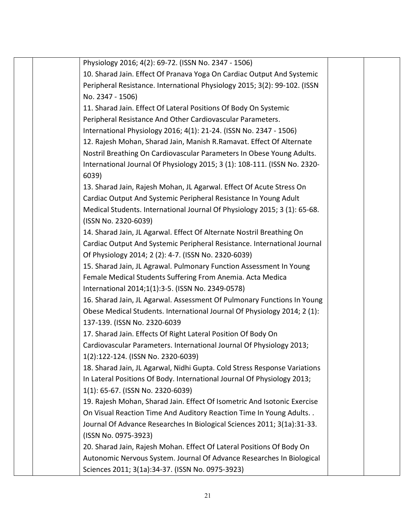| Physiology 2016; 4(2): 69-72. (ISSN No. 2347 - 1506)                      |  |
|---------------------------------------------------------------------------|--|
| 10. Sharad Jain. Effect Of Pranava Yoga On Cardiac Output And Systemic    |  |
| Peripheral Resistance. International Physiology 2015; 3(2): 99-102. (ISSN |  |
| No. 2347 - 1506)                                                          |  |
| 11. Sharad Jain. Effect Of Lateral Positions Of Body On Systemic          |  |
| Peripheral Resistance And Other Cardiovascular Parameters.                |  |
| International Physiology 2016; 4(1): 21-24. (ISSN No. 2347 - 1506)        |  |
| 12. Rajesh Mohan, Sharad Jain, Manish R.Ramavat. Effect Of Alternate      |  |
| Nostril Breathing On Cardiovascular Parameters In Obese Young Adults.     |  |
| International Journal Of Physiology 2015; 3 (1): 108-111. (ISSN No. 2320- |  |
| 6039)                                                                     |  |
| 13. Sharad Jain, Rajesh Mohan, JL Agarwal. Effect Of Acute Stress On      |  |
| Cardiac Output And Systemic Peripheral Resistance In Young Adult          |  |
| Medical Students. International Journal Of Physiology 2015; 3 (1): 65-68. |  |
| (ISSN No. 2320-6039)                                                      |  |
| 14. Sharad Jain, JL Agarwal. Effect Of Alternate Nostril Breathing On     |  |
| Cardiac Output And Systemic Peripheral Resistance. International Journal  |  |
| Of Physiology 2014; 2 (2): 4-7. (ISSN No. 2320-6039)                      |  |
| 15. Sharad Jain, JL Agrawal. Pulmonary Function Assessment In Young       |  |
| Female Medical Students Suffering From Anemia. Acta Medica                |  |
| International 2014;1(1):3-5. (ISSN No. 2349-0578)                         |  |
| 16. Sharad Jain, JL Agarwal. Assessment Of Pulmonary Functions In Young   |  |
| Obese Medical Students. International Journal Of Physiology 2014; 2 (1):  |  |
| 137-139. (ISSN No. 2320-6039                                              |  |
| 17. Sharad Jain. Effects Of Right Lateral Position Of Body On             |  |
| Cardiovascular Parameters. International Journal Of Physiology 2013;      |  |
| 1(2):122-124. (ISSN No. 2320-6039)                                        |  |
| 18. Sharad Jain, JL Agarwal, Nidhi Gupta. Cold Stress Response Variations |  |
| In Lateral Positions Of Body. International Journal Of Physiology 2013;   |  |
| 1(1): 65-67. (ISSN No. 2320-6039)                                         |  |
| 19. Rajesh Mohan, Sharad Jain. Effect Of Isometric And Isotonic Exercise  |  |
| On Visual Reaction Time And Auditory Reaction Time In Young Adults        |  |
| Journal Of Advance Researches In Biological Sciences 2011; 3(1a):31-33.   |  |
| (ISSN No. 0975-3923)                                                      |  |
| 20. Sharad Jain, Rajesh Mohan. Effect Of Lateral Positions Of Body On     |  |
| Autonomic Nervous System. Journal Of Advance Researches In Biological     |  |
| Sciences 2011; 3(1a):34-37. (ISSN No. 0975-3923)                          |  |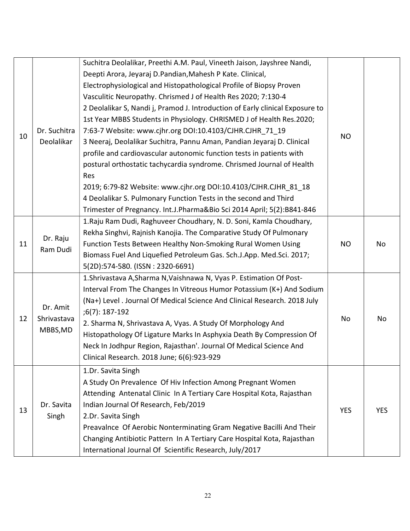|    |                      | Suchitra Deolalikar, Preethi A.M. Paul, Vineeth Jaison, Jayshree Nandi,       |            |            |
|----|----------------------|-------------------------------------------------------------------------------|------------|------------|
|    |                      | Deepti Arora, Jeyaraj D.Pandian, Mahesh P Kate. Clinical,                     |            |            |
|    |                      | Electrophysiological and Histopathological Profile of Biopsy Proven           |            |            |
|    |                      | Vasculitic Neuropathy. Chrismed J of Health Res 2020; 7:130-4                 |            |            |
|    |                      | 2 Deolalikar S, Nandi j, Pramod J. Introduction of Early clinical Exposure to |            |            |
|    |                      | 1st Year MBBS Students in Physiology. CHRISMED J of Health Res.2020;          |            |            |
|    | Dr. Suchitra         | 7:63-7 Website: www.cjhr.org DOI:10.4103/CJHR.CJHR 71 19                      |            |            |
| 10 | Deolalikar           | 3 Neeraj, Deolalikar Suchitra, Pannu Aman, Pandian Jeyaraj D. Clinical        | <b>NO</b>  |            |
|    |                      | profile and cardiovascular autonomic function tests in patients with          |            |            |
|    |                      | postural orthostatic tachycardia syndrome. Chrismed Journal of Health         |            |            |
|    |                      | Res                                                                           |            |            |
|    |                      | 2019; 6:79-82 Website: www.cjhr.org DOI:10.4103/CJHR.CJHR 81 18               |            |            |
|    |                      | 4 Deolalikar S. Pulmonary Function Tests in the second and Third              |            |            |
|    |                      | Trimester of Pregnancy. Int.J.Pharma&Bio Sci 2014 April; 5(2):B841-846        |            |            |
|    | Dr. Raju<br>Ram Dudi | 1. Raju Ram Dudi, Raghuveer Choudhary, N. D. Soni, Kamla Choudhary,           |            |            |
|    |                      | Rekha Singhvi, Rajnish Kanojia. The Comparative Study Of Pulmonary            |            |            |
| 11 |                      | Function Tests Between Healthy Non-Smoking Rural Women Using                  | <b>NO</b>  | No         |
|    |                      | Biomass Fuel And Liquefied Petroleum Gas. Sch.J.App. Med.Sci. 2017;           |            |            |
|    |                      | 5(2D):574-580. (ISSN: 2320-6691)                                              |            |            |
|    |                      | 1. Shrivastava A, Sharma N, Vaishnawa N, Vyas P. Estimation Of Post-          |            |            |
|    |                      | Interval From The Changes In Vitreous Humor Potassium (K+) And Sodium         |            |            |
|    |                      | (Na+) Level . Journal Of Medical Science And Clinical Research. 2018 July     |            |            |
|    | Dr. Amit             | $;6(7):187-192$                                                               |            |            |
| 12 | Shrivastava          | 2. Sharma N, Shrivastava A, Vyas. A Study Of Morphology And                   | No         | No         |
|    | MBBS, MD             | Histopathology Of Ligature Marks In Asphyxia Death By Compression Of          |            |            |
|    |                      | Neck In Jodhpur Region, Rajasthan'. Journal Of Medical Science And            |            |            |
|    |                      | Clinical Research. 2018 June; 6(6):923-929                                    |            |            |
|    |                      | 1.Dr. Savita Singh                                                            |            |            |
|    |                      | A Study On Prevalence Of Hiv Infection Among Pregnant Women                   |            |            |
|    |                      | Attending Antenatal Clinic In A Tertiary Care Hospital Kota, Rajasthan        |            |            |
|    | Dr. Savita           | Indian Journal Of Research, Feb/2019                                          |            |            |
| 13 | Singh                | 2.Dr. Savita Singh                                                            | <b>YES</b> | <b>YES</b> |
|    |                      | Preavalnce Of Aerobic Nonterminating Gram Negative Bacilli And Their          |            |            |
|    |                      | Changing Antibiotic Pattern In A Tertiary Care Hospital Kota, Rajasthan       |            |            |
|    |                      | International Journal Of Scientific Research, July/2017                       |            |            |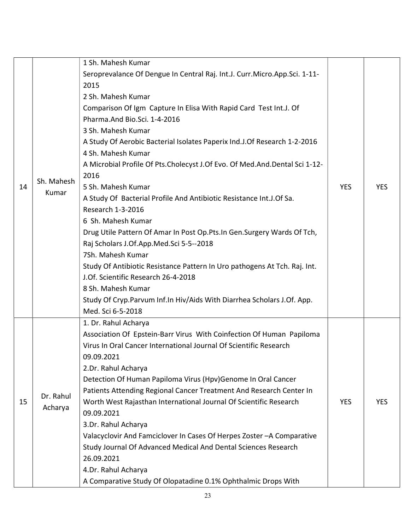|    |            | 1 Sh. Mahesh Kumar                                                             |            |            |
|----|------------|--------------------------------------------------------------------------------|------------|------------|
|    |            | Seroprevalance Of Dengue In Central Raj. Int.J. Curr. Micro. App. Sci. 1-11-   |            |            |
|    |            | 2015                                                                           |            |            |
|    |            | 2 Sh. Mahesh Kumar                                                             |            |            |
|    |            | Comparison Of Igm Capture In Elisa With Rapid Card Test Int.J. Of              |            |            |
|    |            | Pharma.And Bio.Sci. 1-4-2016                                                   |            |            |
|    |            | 3 Sh. Mahesh Kumar                                                             |            |            |
|    |            | A Study Of Aerobic Bacterial Isolates Paperix Ind.J.Of Research 1-2-2016       |            |            |
|    |            | 4 Sh. Mahesh Kumar                                                             |            |            |
|    |            | A Microbial Profile Of Pts. Cholecyst J. Of Evo. Of Med. And. Dental Sci 1-12- |            |            |
|    |            | 2016                                                                           |            |            |
| 14 | Sh. Mahesh | 5 Sh. Mahesh Kumar                                                             | <b>YES</b> | <b>YES</b> |
|    | Kumar      | A Study Of Bacterial Profile And Antibiotic Resistance Int.J.Of Sa.            |            |            |
|    |            | Research 1-3-2016                                                              |            |            |
|    |            | 6 Sh. Mahesh Kumar                                                             |            |            |
|    |            | Drug Utile Pattern Of Amar In Post Op. Pts. In Gen. Surgery Wards Of Tch,      |            |            |
|    |            | Raj Scholars J.Of.App.Med.Sci 5-5--2018                                        |            |            |
|    |            | 7Sh. Mahesh Kumar                                                              |            |            |
|    |            | Study Of Antibiotic Resistance Pattern In Uro pathogens At Tch. Raj. Int.      |            |            |
|    |            | J.Of. Scientific Research 26-4-2018                                            |            |            |
|    |            | 8 Sh. Mahesh Kumar                                                             |            |            |
|    |            | Study Of Cryp. Parvum Inf. In Hiv/Aids With Diarrhea Scholars J. Of. App.      |            |            |
|    |            | Med. Sci 6-5-2018                                                              |            |            |
|    |            | 1. Dr. Rahul Acharya                                                           |            |            |
|    |            | Association Of Epstein-Barr Virus With Coinfection Of Human Papiloma           |            |            |
|    |            | Virus In Oral Cancer International Journal Of Scientific Research              |            |            |
|    |            | 09.09.2021                                                                     |            |            |
|    |            | 2.Dr. Rahul Acharya                                                            |            |            |
|    |            | Detection Of Human Papiloma Virus (Hpv)Genome In Oral Cancer                   |            |            |
|    |            | Patients Attending Regional Cancer Treatment And Research Center In            |            |            |
| 15 | Dr. Rahul  | Worth West Rajasthan International Journal Of Scientific Research              | <b>YES</b> | <b>YES</b> |
|    | Acharya    | 09.09.2021                                                                     |            |            |
|    |            | 3.Dr. Rahul Acharya                                                            |            |            |
|    |            | Valacyclovir And Famciclover In Cases Of Herpes Zoster-A Comparative           |            |            |
|    |            | Study Journal Of Advanced Medical And Dental Sciences Research                 |            |            |
|    |            | 26.09.2021                                                                     |            |            |
|    |            | 4.Dr. Rahul Acharya                                                            |            |            |
|    |            | A Comparative Study Of Olopatadine 0.1% Ophthalmic Drops With                  |            |            |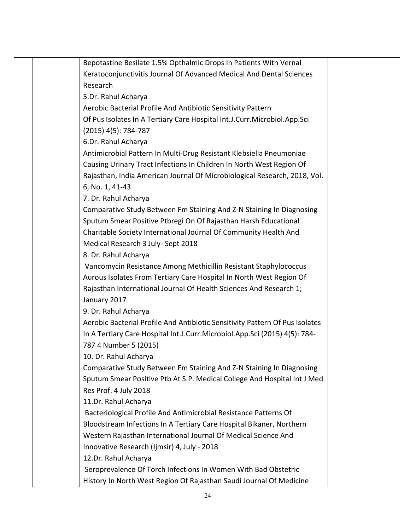|  | Bepotastine Besilate 1.5% Opthalmic Drops In Patients With Vernal            |  |
|--|------------------------------------------------------------------------------|--|
|  | Keratoconjunctivitis Journal Of Advanced Medical And Dental Sciences         |  |
|  | Research                                                                     |  |
|  | 5.Dr. Rahul Acharya                                                          |  |
|  | Aerobic Bacterial Profile And Antibiotic Sensitivity Pattern                 |  |
|  | Of Pus Isolates In A Tertiary Care Hospital Int.J.Curr.Microbiol.App.Sci     |  |
|  | $(2015)$ 4(5): 784-787                                                       |  |
|  | 6.Dr. Rahul Acharya                                                          |  |
|  | Antimicrobial Pattern In Multi-Drug Resistant Klebsiella Pneumoniae          |  |
|  | Causing Urinary Tract Infections In Children In North West Region Of         |  |
|  | Rajasthan, India American Journal Of Microbiological Research, 2018, Vol.    |  |
|  | 6, No. 1, 41-43                                                              |  |
|  | 7. Dr. Rahul Acharya                                                         |  |
|  | Comparative Study Between Fm Staining And Z-N Staining In Diagnosing         |  |
|  | Sputum Smear Positive Ptbregi On Of Rajasthan Harsh Educational              |  |
|  | Charitable Society International Journal Of Community Health And             |  |
|  | Medical Research 3 July- Sept 2018                                           |  |
|  | 8. Dr. Rahul Acharya                                                         |  |
|  | Vancomycin Resistance Among Methicillin Resistant Staphylococcus             |  |
|  | Aurous Isolates From Tertiary Care Hospital In North West Region Of          |  |
|  | Rajasthan International Journal Of Health Sciences And Research 1;           |  |
|  | January 2017                                                                 |  |
|  | 9. Dr. Rahul Acharya                                                         |  |
|  | Aerobic Bacterial Profile And Antibiotic Sensitivity Pattern Of Pus Isolates |  |
|  | In A Tertiary Care Hospital Int.J.Curr.Microbiol.App.Sci (2015) 4(5): 784-   |  |
|  | 787 4 Number 5 (2015)                                                        |  |
|  | 10. Dr. Rahul Acharya                                                        |  |
|  | Comparative Study Between Fm Staining And Z-N Staining In Diagnosing         |  |
|  | Sputum Smear Positive Ptb At S.P. Medical College And Hospital Int J Med     |  |
|  | Res Prof. 4 July 2018                                                        |  |
|  | 11.Dr. Rahul Acharya                                                         |  |
|  | Bacteriological Profile And Antimicrobial Resistance Patterns Of             |  |
|  | Bloodstream Infections In A Tertiary Care Hospital Bikaner, Northern         |  |
|  | Western Rajasthan International Journal Of Medical Science And               |  |
|  | Innovative Research (Ijmsir) 4, July - 2018                                  |  |
|  | 12.Dr. Rahul Acharya                                                         |  |
|  | Seroprevalence Of Torch Infections In Women With Bad Obstetric               |  |
|  | History In North West Region Of Rajasthan Saudi Journal Of Medicine          |  |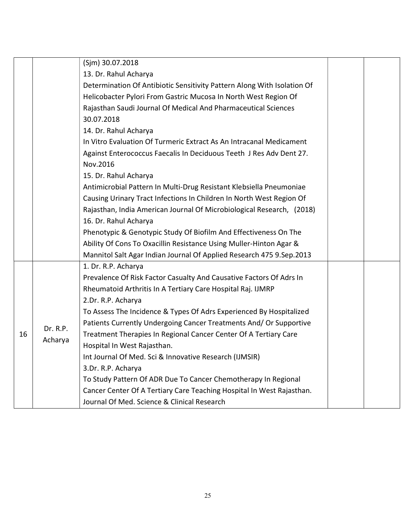|    |          | (Sjm) 30.07.2018                                                                  |  |
|----|----------|-----------------------------------------------------------------------------------|--|
|    |          | 13. Dr. Rahul Acharya                                                             |  |
|    |          | Determination Of Antibiotic Sensitivity Pattern Along With Isolation Of           |  |
|    |          | Helicobacter Pylori From Gastric Mucosa In North West Region Of                   |  |
|    |          | Rajasthan Saudi Journal Of Medical And Pharmaceutical Sciences                    |  |
|    |          | 30.07.2018                                                                        |  |
|    |          | 14. Dr. Rahul Acharya                                                             |  |
|    |          | In Vitro Evaluation Of Turmeric Extract As An Intracanal Medicament               |  |
|    |          | Against Enterococcus Faecalis In Deciduous Teeth J Res Adv Dent 27.               |  |
|    |          | Nov.2016                                                                          |  |
|    |          | 15. Dr. Rahul Acharya                                                             |  |
|    |          | Antimicrobial Pattern In Multi-Drug Resistant Klebsiella Pneumoniae               |  |
|    |          | Causing Urinary Tract Infections In Children In North West Region Of              |  |
|    |          | Rajasthan, India American Journal Of Microbiological Research, (2018)             |  |
|    |          | 16. Dr. Rahul Acharya                                                             |  |
|    |          | Phenotypic & Genotypic Study Of Biofilm And Effectiveness On The                  |  |
|    |          | Ability Of Cons To Oxacillin Resistance Using Muller-Hinton Agar &                |  |
|    |          | Mannitol Salt Agar Indian Journal Of Applied Research 475 9.Sep.2013              |  |
|    |          | 1. Dr. R.P. Acharya                                                               |  |
|    |          | Prevalence Of Risk Factor Casualty And Causative Factors Of Adrs In               |  |
|    |          | Rheumatoid Arthritis In A Tertiary Care Hospital Raj. IJMRP<br>2.Dr. R.P. Acharya |  |
|    |          | To Assess The Incidence & Types Of Adrs Experienced By Hospitalized               |  |
|    |          | Patients Currently Undergoing Cancer Treatments And/ Or Supportive                |  |
| 16 | Dr. R.P. | Treatment Therapies In Regional Cancer Center Of A Tertiary Care                  |  |
|    | Acharya  | Hospital In West Rajasthan.                                                       |  |
|    |          | Int Journal Of Med. Sci & Innovative Research (IJMSIR)                            |  |
|    |          | 3.Dr. R.P. Acharya                                                                |  |
|    |          | To Study Pattern Of ADR Due To Cancer Chemotherapy In Regional                    |  |
|    |          | Cancer Center Of A Tertiary Care Teaching Hospital In West Rajasthan.             |  |
|    |          | Journal Of Med. Science & Clinical Research                                       |  |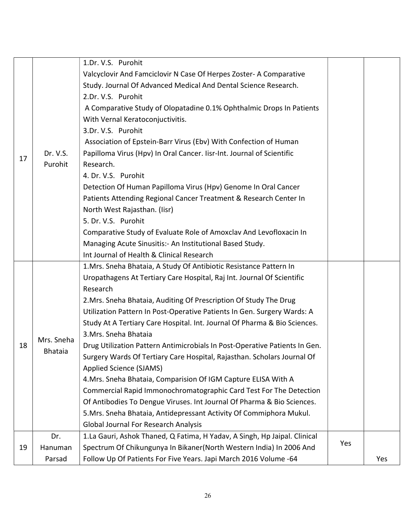|    |                | 1.Dr. V.S. Purohit                                                         |     |     |
|----|----------------|----------------------------------------------------------------------------|-----|-----|
| 17 |                | Valcyclovir And Famciclovir N Case Of Herpes Zoster- A Comparative         |     |     |
|    |                | Study. Journal Of Advanced Medical And Dental Science Research.            |     |     |
|    |                | 2.Dr. V.S. Purohit                                                         |     |     |
|    |                | A Comparative Study of Olopatadine 0.1% Ophthalmic Drops In Patients       |     |     |
|    |                | With Vernal Keratoconjuctivitis.                                           |     |     |
|    |                | 3.Dr. V.S. Purohit                                                         |     |     |
|    |                | Association of Epstein-Barr Virus (Ebv) With Confection of Human           |     |     |
|    | Dr. V.S.       | Papilloma Virus (Hpv) In Oral Cancer. Iisr-Int. Journal of Scientific      |     |     |
|    | Purohit        | Research.                                                                  |     |     |
|    |                | 4. Dr. V.S. Purohit                                                        |     |     |
|    |                | Detection Of Human Papilloma Virus (Hpv) Genome In Oral Cancer             |     |     |
|    |                | Patients Attending Regional Cancer Treatment & Research Center In          |     |     |
|    |                | North West Rajasthan. (Iisr)                                               |     |     |
|    |                | 5. Dr. V.S. Purohit                                                        |     |     |
|    |                | Comparative Study of Evaluate Role of Amoxclav And Levofloxacin In         |     |     |
|    |                | Managing Acute Sinusitis: - An Institutional Based Study.                  |     |     |
|    |                | Int Journal of Health & Clinical Research                                  |     |     |
|    |                | 1. Mrs. Sneha Bhataia, A Study Of Antibiotic Resistance Pattern In         |     |     |
|    |                | Uropathagens At Tertiary Care Hospital, Raj Int. Journal Of Scientific     |     |     |
|    |                | Research                                                                   |     |     |
|    |                | 2. Mrs. Sneha Bhataia, Auditing Of Prescription Of Study The Drug          |     |     |
|    |                | Utilization Pattern In Post-Operative Patients In Gen. Surgery Wards: A    |     |     |
|    |                | Study At A Tertiary Care Hospital. Int. Journal Of Pharma & Bio Sciences.  |     |     |
|    | Mrs. Sneha     | 3. Mrs. Sneha Bhataia                                                      |     |     |
| 18 | <b>Bhataia</b> | Drug Utilization Pattern Antimicrobials In Post-Operative Patients In Gen. |     |     |
|    |                | Surgery Wards Of Tertiary Care Hospital, Rajasthan. Scholars Journal Of    |     |     |
|    |                | <b>Applied Science (SJAMS)</b>                                             |     |     |
|    |                | 4. Mrs. Sneha Bhataia, Comparision Of IGM Capture ELISA With A             |     |     |
|    |                | Commercial Rapid Immonochromatographic Card Test For The Detection         |     |     |
|    |                | Of Antibodies To Dengue Viruses. Int Journal Of Pharma & Bio Sciences.     |     |     |
|    |                | 5. Mrs. Sneha Bhataia, Antidepressant Activity Of Commiphora Mukul.        |     |     |
|    |                | <b>Global Journal For Research Analysis</b>                                |     |     |
|    | Dr.            | 1.La Gauri, Ashok Thaned, Q Fatima, H Yadav, A Singh, Hp Jaipal. Clinical  |     |     |
| 19 | Hanuman        | Spectrum Of Chikungunya In Bikaner (North Western India) In 2006 And       | Yes |     |
|    | Parsad         | Follow Up Of Patients For Five Years. Japi March 2016 Volume -64           |     | Yes |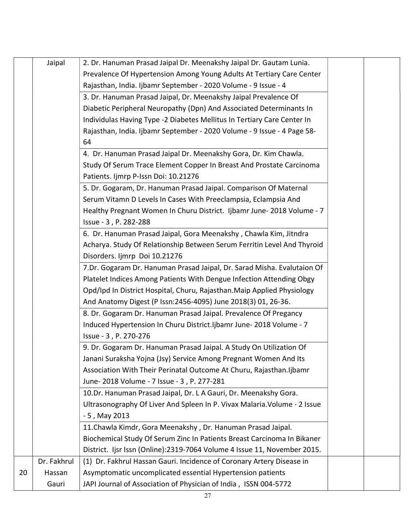|    | Jaipal      | 2. Dr. Hanuman Prasad Jaipal Dr. Meenakshy Jaipal Dr. Gautam Lunia.       |  |
|----|-------------|---------------------------------------------------------------------------|--|
|    |             | Prevalence Of Hypertension Among Young Adults At Tertiary Care Center     |  |
|    |             | Rajasthan, India. Ijbamr September - 2020 Volume - 9 Issue - 4            |  |
|    |             | 3. Dr. Hanuman Prasad Jaipal, Dr. Meenakshy Jaipal Prevalence Of          |  |
|    |             | Diabetic Peripheral Neuropathy (Dpn) And Associated Determinants In       |  |
|    |             | Individulas Having Type -2 Diabetes Mellitus In Tertiary Care Center In   |  |
|    |             | Rajasthan, India. Ijbamr September - 2020 Volume - 9 Issue - 4 Page 58-   |  |
|    |             | 64                                                                        |  |
|    |             | 4. Dr. Hanuman Prasad Jaipal Dr. Meenakshy Gora, Dr. Kim Chawla.          |  |
|    |             | Study Of Serum Trace Element Copper In Breast And Prostate Carcinoma      |  |
|    |             | Patients. Ijmrp P-Issn Doi: 10.21276                                      |  |
|    |             | 5. Dr. Gogaram, Dr. Hanuman Prasad Jaipal. Comparison Of Maternal         |  |
|    |             | Serum Vitamn D Levels In Cases With Preeclampsia, Eclampsia And           |  |
|    |             | Healthy Pregnant Women In Churu District. Ijbamr June-2018 Volume - 7     |  |
|    |             | Issue - 3, P. 282-288                                                     |  |
|    |             | 6. Dr. Hanuman Prasad Jaipal, Gora Meenakshy, Chawla Kim, Jitndra         |  |
|    |             | Acharya. Study Of Relationship Between Serum Ferritin Level And Thyroid   |  |
|    |             | Disorders. Ijmrp Doi 10.21276                                             |  |
|    |             | 7.Dr. Gogaram Dr. Hanuman Prasad Jaipal, Dr. Sarad Misha. Evalutaion Of   |  |
|    |             | Platelet Indices Among Patients With Dengue Infection Attending Obgy      |  |
|    |             | Opd/Ipd In District Hospital, Churu, Rajasthan. Maip Applied Physiology   |  |
|    |             | And Anatomy Digest (P Issn: 2456-4095) June 2018(3) 01, 26-36.            |  |
|    |             | 8. Dr. Gogaram Dr. Hanuman Prasad Jaipal. Prevalence Of Pregancy          |  |
|    |             | Induced Hypertension In Churu District. Ijbamr June-2018 Volume - 7       |  |
|    |             | Issue - 3, P. 270-276                                                     |  |
|    |             | 9. Dr. Gogaram Dr. Hanuman Prasad Jaipal. A Study On Utilization Of       |  |
|    |             | Janani Suraksha Yojna (Jsy) Service Among Pregnant Women And Its          |  |
|    |             | Association With Their Perinatal Outcome At Churu, Rajasthan. Ijbamr      |  |
|    |             | June- 2018 Volume - 7 Issue - 3, P. 277-281                               |  |
|    |             | 10.Dr. Hanuman Prasad Jaipal, Dr. L A Gauri, Dr. Meenakshy Gora.          |  |
|    |             | Ultrasonography Of Liver And Spleen In P. Vivax Malaria. Volume - 2 Issue |  |
|    |             | - 5, May 2013                                                             |  |
|    |             | 11. Chawla Kimdr, Gora Meenakshy, Dr. Hanuman Prasad Jaipal.              |  |
|    |             | Biochemical Study Of Serum Zinc In Patients Breast Carcinoma In Bikaner   |  |
|    |             | District. Ijsr Issn (Online):2319-7064 Volume 4 Issue 11, November 2015.  |  |
|    | Dr. Fakhrul | (1) Dr. Fakhrul Hassan Gauri. Incidence of Coronary Artery Disease in     |  |
| 20 | Hassan      | Asymptomatic uncomplicated essential Hypertension patients                |  |
|    | Gauri       | JAPI Journal of Association of Physician of India, ISSN 004-5772          |  |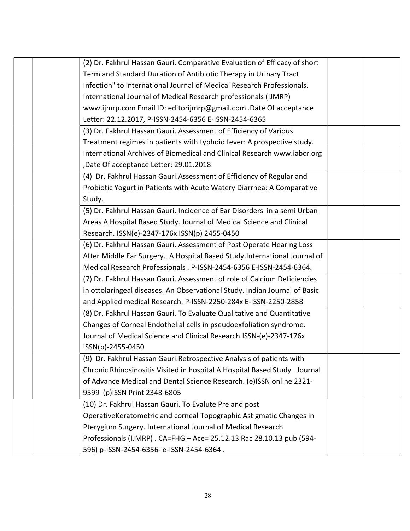|  | (2) Dr. Fakhrul Hassan Gauri. Comparative Evaluation of Efficacy of short   |  |
|--|-----------------------------------------------------------------------------|--|
|  | Term and Standard Duration of Antibiotic Therapy in Urinary Tract           |  |
|  | Infection" to international Journal of Medical Research Professionals.      |  |
|  | International Journal of Medical Research professionals (IJMRP)             |  |
|  | www.ijmrp.com Email ID: editorijmrp@gmail.com .Date Of acceptance           |  |
|  | Letter: 22.12.2017, P-ISSN-2454-6356 E-ISSN-2454-6365                       |  |
|  | (3) Dr. Fakhrul Hassan Gauri. Assessment of Efficiency of Various           |  |
|  | Treatment regimes in patients with typhoid fever: A prospective study.      |  |
|  | International Archives of Biomedical and Clinical Research www.iabcr.org    |  |
|  | ,Date Of acceptance Letter: 29.01.2018                                      |  |
|  | (4) Dr. Fakhrul Hassan Gauri.Assessment of Efficiency of Regular and        |  |
|  | Probiotic Yogurt in Patients with Acute Watery Diarrhea: A Comparative      |  |
|  | Study.                                                                      |  |
|  | (5) Dr. Fakhrul Hassan Gauri. Incidence of Ear Disorders in a semi Urban    |  |
|  | Areas A Hospital Based Study. Journal of Medical Science and Clinical       |  |
|  | Research. ISSN(e)-2347-176x ISSN(p) 2455-0450                               |  |
|  | (6) Dr. Fakhrul Hassan Gauri. Assessment of Post Operate Hearing Loss       |  |
|  | After Middle Ear Surgery. A Hospital Based Study.International Journal of   |  |
|  | Medical Research Professionals . P-ISSN-2454-6356 E-ISSN-2454-6364.         |  |
|  | (7) Dr. Fakhrul Hassan Gauri. Assessment of role of Calcium Deficiencies    |  |
|  | in ottolaringeal diseases. An Observational Study. Indian Journal of Basic  |  |
|  | and Applied medical Research. P-ISSN-2250-284x E-ISSN-2250-2858             |  |
|  | (8) Dr. Fakhrul Hassan Gauri. To Evaluate Qualitative and Quantitative      |  |
|  | Changes of Corneal Endothelial cells in pseudoexfoliation syndrome.         |  |
|  | Journal of Medical Science and Clinical Research.ISSN-(e)-2347-176x         |  |
|  | ISSN(p)-2455-0450                                                           |  |
|  | (9) Dr. Fakhrul Hassan Gauri. Retrospective Analysis of patients with       |  |
|  | Chronic Rhinosinositis Visited in hospital A Hospital Based Study . Journal |  |
|  | of Advance Medical and Dental Science Research. (e)ISSN online 2321-        |  |
|  | 9599 (p)ISSN Print 2348-6805                                                |  |
|  | (10) Dr. Fakhrul Hassan Gauri. To Evalute Pre and post                      |  |
|  | OperativeKeratometric and corneal Topographic Astigmatic Changes in         |  |
|  | Pterygium Surgery. International Journal of Medical Research                |  |
|  | Professionals (IJMRP) . CA=FHG - Ace= 25.12.13 Rac 28.10.13 pub (594-       |  |
|  | 596) p-ISSN-2454-6356- e-ISSN-2454-6364.                                    |  |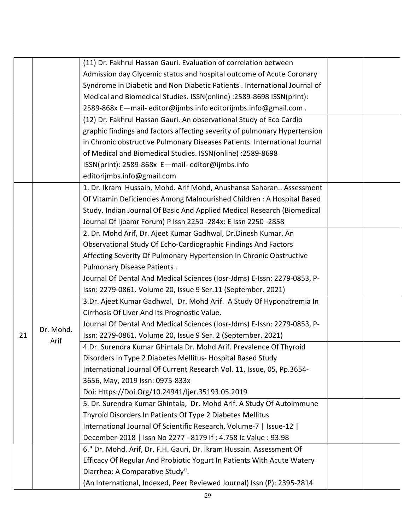|    |           | (11) Dr. Fakhrul Hassan Gauri. Evaluation of correlation between          |  |
|----|-----------|---------------------------------------------------------------------------|--|
|    |           | Admission day Glycemic status and hospital outcome of Acute Coronary      |  |
|    |           | Syndrome in Diabetic and Non Diabetic Patients . International Journal of |  |
|    |           | Medical and Biomedical Studies. ISSN(online) :2589-8698 ISSN(print):      |  |
|    |           | 2589-868x E-mail-editor@ijmbs.info editorijmbs.info@gmail.com.            |  |
|    |           | (12) Dr. Fakhrul Hassan Gauri. An observational Study of Eco Cardio       |  |
|    |           | graphic findings and factors affecting severity of pulmonary Hypertension |  |
|    |           | in Chronic obstructive Pulmonary Diseases Patients. International Journal |  |
|    |           | of Medical and Biomedical Studies. ISSN(online) :2589-8698                |  |
|    |           | ISSN(print): 2589-868x E-mail-editor@ijmbs.info                           |  |
|    |           | editorijmbs.info@gmail.com                                                |  |
|    |           | 1. Dr. Ikram Hussain, Mohd. Arif Mohd, Anushansa Saharan Assessment       |  |
|    |           | Of Vitamin Deficiencies Among Malnourished Children: A Hospital Based     |  |
|    |           | Study. Indian Journal Of Basic And Applied Medical Research (Biomedical   |  |
|    |           | Journal Of Ijbamr Forum) P Issn 2250 -284x: E Issn 2250 -2858             |  |
|    |           | 2. Dr. Mohd Arif, Dr. Ajeet Kumar Gadhwal, Dr.Dinesh Kumar. An            |  |
|    |           | Observational Study Of Echo-Cardiographic Findings And Factors            |  |
|    |           | Affecting Severity Of Pulmonary Hypertension In Chronic Obstructive       |  |
|    |           | Pulmonary Disease Patients.                                               |  |
|    |           | Journal Of Dental And Medical Sciences (Iosr-Jdms) E-Issn: 2279-0853, P-  |  |
|    |           | Issn: 2279-0861. Volume 20, Issue 9 Ser.11 (September. 2021)              |  |
|    |           | 3.Dr. Ajeet Kumar Gadhwal, Dr. Mohd Arif. A Study Of Hyponatremia In      |  |
|    |           | Cirrhosis Of Liver And Its Prognostic Value.                              |  |
|    |           | Journal Of Dental And Medical Sciences (Iosr-Jdms) E-Issn: 2279-0853, P-  |  |
| 21 | Dr. Mohd. | Issn: 2279-0861. Volume 20, Issue 9 Ser. 2 (September. 2021)              |  |
|    | Arif      | 4.Dr. Surendra Kumar Ghintala Dr. Mohd Arif. Prevalence Of Thyroid        |  |
|    |           | Disorders In Type 2 Diabetes Mellitus- Hospital Based Study               |  |
|    |           | International Journal Of Current Research Vol. 11, Issue, 05, Pp.3654-    |  |
|    |           | 3656, May, 2019 Issn: 0975-833x                                           |  |
|    |           | Doi: Https://Doi.Org/10.24941/Ijer.35193.05.2019                          |  |
|    |           | 5. Dr. Surendra Kumar Ghintala, Dr. Mohd Arif. A Study Of Autoimmune      |  |
|    |           | Thyroid Disorders In Patients Of Type 2 Diabetes Mellitus                 |  |
|    |           | International Journal Of Scientific Research, Volume-7   Issue-12         |  |
|    |           | December-2018   Issn No 2277 - 8179 If : 4.758 Ic Value : 93.98           |  |
|    |           | 6." Dr. Mohd. Arif, Dr. F.H. Gauri, Dr. Ikram Hussain. Assessment Of      |  |
|    |           | Efficacy Of Regular And Probiotic Yogurt In Patients With Acute Watery    |  |
|    |           | Diarrhea: A Comparative Study".                                           |  |
|    |           | (An International, Indexed, Peer Reviewed Journal) Issn (P): 2395-2814    |  |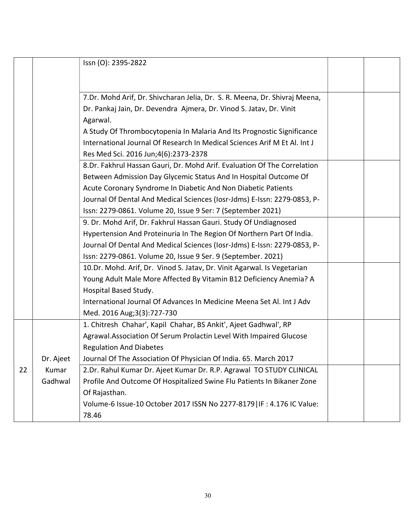|    |           | Issn (O): 2395-2822                                                        |  |
|----|-----------|----------------------------------------------------------------------------|--|
|    |           |                                                                            |  |
|    |           | 7.Dr. Mohd Arif, Dr. Shivcharan Jelia, Dr. S. R. Meena, Dr. Shivraj Meena, |  |
|    |           | Dr. Pankaj Jain, Dr. Devendra Ajmera, Dr. Vinod S. Jatav, Dr. Vinit        |  |
|    |           | Agarwal.                                                                   |  |
|    |           | A Study Of Thrombocytopenia In Malaria And Its Prognostic Significance     |  |
|    |           | International Journal Of Research In Medical Sciences Arif M Et Al. Int J  |  |
|    |           | Res Med Sci. 2016 Jun;4(6):2373-2378                                       |  |
|    |           | 8.Dr. Fakhrul Hassan Gauri, Dr. Mohd Arif. Evaluation Of The Correlation   |  |
|    |           | Between Admission Day Glycemic Status And In Hospital Outcome Of           |  |
|    |           | Acute Coronary Syndrome In Diabetic And Non Diabetic Patients              |  |
|    |           | Journal Of Dental And Medical Sciences (Iosr-Jdms) E-Issn: 2279-0853, P-   |  |
|    |           | Issn: 2279-0861. Volume 20, Issue 9 Ser: 7 (September 2021)                |  |
|    |           | 9. Dr. Mohd Arif, Dr. Fakhrul Hassan Gauri. Study Of Undiagnosed           |  |
|    |           | Hypertension And Proteinuria In The Region Of Northern Part Of India.      |  |
|    |           | Journal Of Dental And Medical Sciences (Iosr-Jdms) E-Issn: 2279-0853, P-   |  |
|    |           | Issn: 2279-0861. Volume 20, Issue 9 Ser. 9 (September. 2021)               |  |
|    |           | 10.Dr. Mohd. Arif, Dr. Vinod S. Jatav, Dr. Vinit Agarwal. Is Vegetarian    |  |
|    |           | Young Adult Male More Affected By Vitamin B12 Deficiency Anemia? A         |  |
|    |           | Hospital Based Study.                                                      |  |
|    |           | International Journal Of Advances In Medicine Meena Set Al. Int J Adv      |  |
|    |           | Med. 2016 Aug; 3(3): 727-730                                               |  |
|    |           | 1. Chitresh Chahar', Kapil Chahar, BS Ankit', Ajeet Gadhwal', RP           |  |
|    |           | Agrawal.Association Of Serum Prolactin Level With Impaired Glucose         |  |
|    |           | <b>Regulation And Diabetes</b>                                             |  |
|    | Dr. Ajeet | Journal Of The Association Of Physician Of India. 65. March 2017           |  |
| 22 | Kumar     | 2.Dr. Rahul Kumar Dr. Ajeet Kumar Dr. R.P. Agrawal TO STUDY CLINICAL       |  |
|    | Gadhwal   | Profile And Outcome Of Hospitalized Swine Flu Patients In Bikaner Zone     |  |
|    |           | Of Rajasthan.                                                              |  |
|    |           | Volume-6 Issue-10 October 2017 ISSN No 2277-8179   IF: 4.176 IC Value:     |  |
|    |           | 78.46                                                                      |  |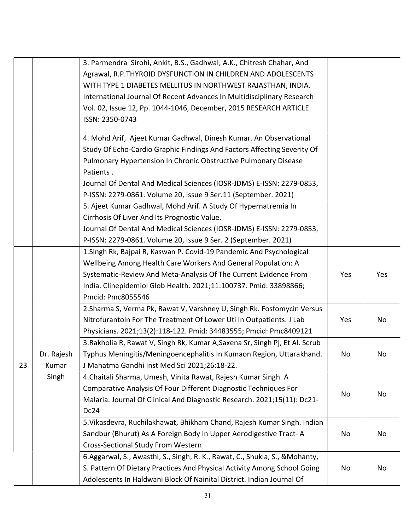|    |                     | 3. Parmendra Sirohi, Ankit, B.S., Gadhwal, A.K., Chitresh Chahar, And<br>Agrawal, R.P.THYROID DYSFUNCTION IN CHILDREN AND ADOLESCENTS<br>WITH TYPE 1 DIABETES MELLITUS IN NORTHWEST RAJASTHAN, INDIA.<br>International Journal Of Recent Advances In Multidisciplinary Research<br>Vol. 02, Issue 12, Pp. 1044-1046, December, 2015 RESEARCH ARTICLE<br>ISSN: 2350-0743 |     |     |
|----|---------------------|-------------------------------------------------------------------------------------------------------------------------------------------------------------------------------------------------------------------------------------------------------------------------------------------------------------------------------------------------------------------------|-----|-----|
|    |                     | 4. Mohd Arif, Ajeet Kumar Gadhwal, Dinesh Kumar. An Observational<br>Study Of Echo-Cardio Graphic Findings And Factors Affecting Severity Of<br>Pulmonary Hypertension In Chronic Obstructive Pulmonary Disease<br>Patients.<br>Journal Of Dental And Medical Sciences (IOSR-JDMS) E-ISSN: 2279-0853,                                                                   |     |     |
|    |                     | P-ISSN: 2279-0861. Volume 20, Issue 9 Ser.11 (September. 2021)<br>5. Ajeet Kumar Gadhwal, Mohd Arif. A Study Of Hypernatremia In<br>Cirrhosis Of Liver And Its Prognostic Value.<br>Journal Of Dental And Medical Sciences (IOSR-JDMS) E-ISSN: 2279-0853,                                                                                                               |     |     |
|    |                     | P-ISSN: 2279-0861. Volume 20, Issue 9 Ser. 2 (September. 2021)<br>1. Singh Rk, Bajpai R, Kaswan P. Covid-19 Pandemic And Psychological                                                                                                                                                                                                                                  |     |     |
|    |                     | Wellbeing Among Health Care Workers And General Population: A<br>Systematic-Review And Meta-Analysis Of The Current Evidence From<br>India. Clinepidemiol Glob Health. 2021;11:100737. Pmid: 33898866;<br>Pmcid: Pmc8055546                                                                                                                                             | Yes | Yes |
|    |                     | 2. Sharma S, Verma Pk, Rawat V, Varshney U, Singh Rk. Fosfomycin Versus<br>Nitrofurantoin For The Treatment Of Lower Uti In Outpatients. J Lab<br>Physicians. 2021;13(2):118-122. Pmid: 34483555; Pmcid: Pmc8409121                                                                                                                                                     | Yes | No  |
| 23 | Dr. Rajesh<br>Kumar | 3. Rakholia R, Rawat V, Singh Rk, Kumar A, Saxena Sr, Singh Pj, Et Al. Scrub<br>Typhus Meningitis/Meningoencephalitis In Kumaon Region, Uttarakhand.<br>J Mahatma Gandhi Inst Med Sci 2021;26:18-22.                                                                                                                                                                    | No  | No  |
|    | Singh               | 4. Chaitali Sharma, Umesh, Vinita Rawat, Rajesh Kumar Singh. A<br>Comparative Analysis Of Four Different Diagnostic Techniques For<br>Malaria. Journal Of Clinical And Diagnostic Research. 2021;15(11): Dc21-<br>Dc24                                                                                                                                                  | No  | No  |
|    |                     | 5. Vikasdevra, Ruchilakhawat, Bhikham Chand, Rajesh Kumar Singh. Indian<br>Sandbur (Bhurut) As A Foreign Body In Upper Aerodigestive Tract-A<br><b>Cross-Sectional Study From Western</b>                                                                                                                                                                               | No  | No  |
|    |                     | 6. Aggarwal, S., Awasthi, S., Singh, R. K., Rawat, C., Shukla, S., & Mohanty,<br>S. Pattern Of Dietary Practices And Physical Activity Among School Going<br>Adolescents In Haldwani Block Of Nainital District. Indian Journal Of                                                                                                                                      | No  | No  |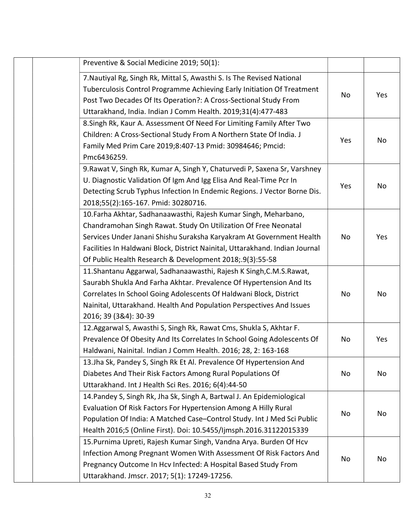| Preventive & Social Medicine 2019; 50(1):                                                                                                                                                                                                                                                                                                               |     |     |
|---------------------------------------------------------------------------------------------------------------------------------------------------------------------------------------------------------------------------------------------------------------------------------------------------------------------------------------------------------|-----|-----|
| 7. Nautiyal Rg, Singh Rk, Mittal S, Awasthi S. Is The Revised National<br>Tuberculosis Control Programme Achieving Early Initiation Of Treatment<br>Post Two Decades Of Its Operation?: A Cross-Sectional Study From<br>Uttarakhand, India. Indian J Comm Health. 2019;31(4):477-483                                                                    | No  | Yes |
| 8. Singh Rk, Kaur A. Assessment Of Need For Limiting Family After Two<br>Children: A Cross-Sectional Study From A Northern State Of India. J<br>Family Med Prim Care 2019;8:407-13 Pmid: 30984646; Pmcid:<br>Pmc6436259.                                                                                                                                | Yes | No  |
| 9. Rawat V, Singh Rk, Kumar A, Singh Y, Chaturvedi P, Saxena Sr, Varshney<br>U. Diagnostic Validation Of Igm And Igg Elisa And Real-Time Pcr In<br>Detecting Scrub Typhus Infection In Endemic Regions. J Vector Borne Dis.<br>2018;55(2):165-167. Pmid: 30280716.                                                                                      | Yes | No  |
| 10. Farha Akhtar, Sadhanaawasthi, Rajesh Kumar Singh, Meharbano,<br>Chandramohan Singh Rawat. Study On Utilization Of Free Neonatal<br>Services Under Janani Shishu Suraksha Karyakram At Government Health<br>Facilities In Haldwani Block, District Nainital, Uttarakhand. Indian Journal<br>Of Public Health Research & Development 2018;.9(3):55-58 | No  | Yes |
| 11. Shantanu Aggarwal, Sadhanaawasthi, Rajesh K Singh, C.M. S. Rawat,<br>Saurabh Shukla And Farha Akhtar. Prevalence Of Hypertension And Its<br>Correlates In School Going Adolescents Of Haldwani Block, District<br>Nainital, Uttarakhand. Health And Population Perspectives And Issues<br>2016; 39 (3&4): 30-39                                     | No  | No  |
| 12. Aggarwal S, Awasthi S, Singh Rk, Rawat Cms, Shukla S, Akhtar F.<br>Prevalence Of Obesity And Its Correlates In School Going Adolescents Of<br>Haldwani, Nainital. Indian J Comm Health. 2016; 28, 2: 163-168                                                                                                                                        | No  | Yes |
| 13. Jha Sk, Pandey S, Singh Rk Et Al. Prevalence Of Hypertension And<br>Diabetes And Their Risk Factors Among Rural Populations Of<br>Uttarakhand. Int J Health Sci Res. 2016; 6(4):44-50                                                                                                                                                               | No  | No  |
| 14. Pandey S, Singh Rk, Jha Sk, Singh A, Bartwal J. An Epidemiological<br>Evaluation Of Risk Factors For Hypertension Among A Hilly Rural<br>Population Of India: A Matched Case-Control Study. Int J Med Sci Public<br>Health 2016;5 (Online First). Doi: 10.5455/Ijmsph.2016.31122015339                                                              | No  | No  |
| 15. Purnima Upreti, Rajesh Kumar Singh, Vandna Arya. Burden Of Hcv<br>Infection Among Pregnant Women With Assessment Of Risk Factors And<br>Pregnancy Outcome In Hcv Infected: A Hospital Based Study From<br>Uttarakhand. Jmscr. 2017; 5(1): 17249-17256.                                                                                              | No  | No  |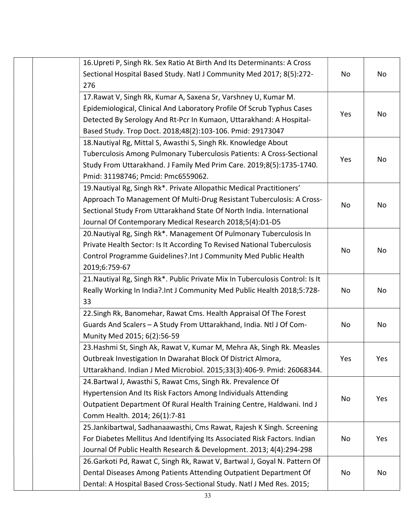| 16. Upreti P, Singh Rk. Sex Ratio At Birth And Its Determinants: A Cross      |     |     |
|-------------------------------------------------------------------------------|-----|-----|
| Sectional Hospital Based Study. Natl J Community Med 2017; 8(5):272-          | No  | No  |
| 276                                                                           |     |     |
| 17. Rawat V, Singh Rk, Kumar A, Saxena Sr, Varshney U, Kumar M.               |     |     |
| Epidemiological, Clinical And Laboratory Profile Of Scrub Typhus Cases        |     |     |
| Detected By Serology And Rt-Pcr In Kumaon, Uttarakhand: A Hospital-           | Yes | No  |
| Based Study. Trop Doct. 2018;48(2):103-106. Pmid: 29173047                    |     |     |
| 18. Nautiyal Rg, Mittal S, Awasthi S, Singh Rk. Knowledge About               |     |     |
| Tuberculosis Among Pulmonary Tuberculosis Patients: A Cross-Sectional         |     |     |
| Study From Uttarakhand. J Family Med Prim Care. 2019;8(5):1735-1740.          | Yes | No  |
| Pmid: 31198746; Pmcid: Pmc6559062.                                            |     |     |
| 19. Nautiyal Rg, Singh Rk*. Private Allopathic Medical Practitioners'         |     |     |
| Approach To Management Of Multi-Drug Resistant Tuberculosis: A Cross-         |     |     |
| Sectional Study From Uttarakhand State Of North India. International          | No  | No  |
| Journal Of Contemporary Medical Research 2018;5(4):D1-D5                      |     |     |
| 20. Nautiyal Rg, Singh Rk*. Management Of Pulmonary Tuberculosis In           |     |     |
| Private Health Sector: Is It According To Revised National Tuberculosis       |     |     |
| Control Programme Guidelines?. Int J Community Med Public Health              | No  | No  |
| 2019;6:759-67                                                                 |     |     |
| 21. Nautiyal Rg, Singh Rk*. Public Private Mix In Tuberculosis Control: Is It |     |     |
| Really Working In India?.Int J Community Med Public Health 2018;5:728-        | No  | No  |
| 33                                                                            |     |     |
| 22. Singh Rk, Banomehar, Rawat Cms. Health Appraisal Of The Forest            |     |     |
| Guards And Scalers - A Study From Uttarakhand, India. Ntl J Of Com-           | No  | No  |
| Munity Med 2015; 6(2):56-59                                                   |     |     |
| 23. Hashmi St, Singh Ak, Rawat V, Kumar M, Mehra Ak, Singh Rk. Measles        |     |     |
| Outbreak Investigation In Dwarahat Block Of District Almora,                  | Yes | Yes |
| Uttarakhand. Indian J Med Microbiol. 2015;33(3):406-9. Pmid: 26068344.        |     |     |
| 24. Bartwal J, Awasthi S, Rawat Cms, Singh Rk. Prevalence Of                  |     |     |
| Hypertension And Its Risk Factors Among Individuals Attending                 | No  | Yes |
| Outpatient Department Of Rural Health Training Centre, Haldwani. Ind J        |     |     |
| Comm Health. 2014; 26(1):7-81                                                 |     |     |
| 25. Jankibartwal, Sadhanaawasthi, Cms Rawat, Rajesh K Singh. Screening        |     |     |
| For Diabetes Mellitus And Identifying Its Associated Risk Factors. Indian     | No  | Yes |
| Journal Of Public Health Research & Development. 2013; 4(4):294-298           |     |     |
| 26. Garkoti Pd, Rawat C, Singh Rk, Rawat V, Bartwal J, Goyal N. Pattern Of    |     |     |
| Dental Diseases Among Patients Attending Outpatient Department Of             | No  | No  |
| Dental: A Hospital Based Cross-Sectional Study. Natl J Med Res. 2015;         |     |     |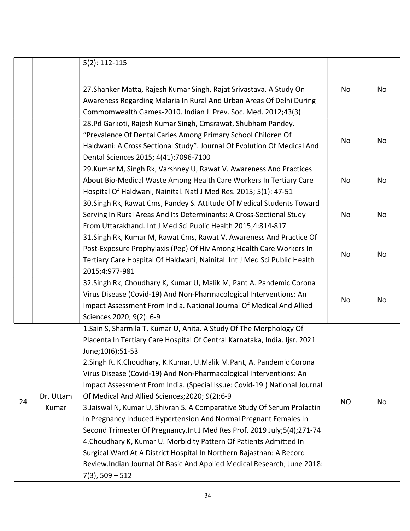|    |                    | $5(2): 112 - 115$                                                                                                                                                                                                                                                                                                                                                                                                                                                                                                                                                                                                                                                                                                                                                                                                                                                                                                                 |           |    |
|----|--------------------|-----------------------------------------------------------------------------------------------------------------------------------------------------------------------------------------------------------------------------------------------------------------------------------------------------------------------------------------------------------------------------------------------------------------------------------------------------------------------------------------------------------------------------------------------------------------------------------------------------------------------------------------------------------------------------------------------------------------------------------------------------------------------------------------------------------------------------------------------------------------------------------------------------------------------------------|-----------|----|
|    |                    | 27. Shanker Matta, Rajesh Kumar Singh, Rajat Srivastava. A Study On<br>Awareness Regarding Malaria In Rural And Urban Areas Of Delhi During                                                                                                                                                                                                                                                                                                                                                                                                                                                                                                                                                                                                                                                                                                                                                                                       | No        | No |
|    |                    | Commomwealth Games-2010. Indian J. Prev. Soc. Med. 2012;43(3)                                                                                                                                                                                                                                                                                                                                                                                                                                                                                                                                                                                                                                                                                                                                                                                                                                                                     |           |    |
|    |                    | 28.Pd Garkoti, Rajesh Kumar Singh, Cmsrawat, Shubham Pandey.<br>"Prevalence Of Dental Caries Among Primary School Children Of<br>Haldwani: A Cross Sectional Study". Journal Of Evolution Of Medical And<br>Dental Sciences 2015; 4(41):7096-7100                                                                                                                                                                                                                                                                                                                                                                                                                                                                                                                                                                                                                                                                                 | No        | No |
|    |                    | 29. Kumar M, Singh Rk, Varshney U, Rawat V. Awareness And Practices<br>About Bio-Medical Waste Among Health Care Workers In Tertiary Care<br>Hospital Of Haldwani, Nainital. Natl J Med Res. 2015; 5(1): 47-51                                                                                                                                                                                                                                                                                                                                                                                                                                                                                                                                                                                                                                                                                                                    | No        | No |
|    |                    | 30. Singh Rk, Rawat Cms, Pandey S. Attitude Of Medical Students Toward<br>Serving In Rural Areas And Its Determinants: A Cross-Sectional Study<br>From Uttarakhand. Int J Med Sci Public Health 2015;4:814-817                                                                                                                                                                                                                                                                                                                                                                                                                                                                                                                                                                                                                                                                                                                    | No        | No |
|    |                    | 31. Singh Rk, Kumar M, Rawat Cms, Rawat V. Awareness And Practice Of<br>Post-Exposure Prophylaxis (Pep) Of Hiv Among Health Care Workers In<br>Tertiary Care Hospital Of Haldwani, Nainital. Int J Med Sci Public Health<br>2015;4:977-981                                                                                                                                                                                                                                                                                                                                                                                                                                                                                                                                                                                                                                                                                        | No        | No |
|    |                    | 32. Singh Rk, Choudhary K, Kumar U, Malik M, Pant A. Pandemic Corona<br>Virus Disease (Covid-19) And Non-Pharmacological Interventions: An<br>Impact Assessment From India. National Journal Of Medical And Allied<br>Sciences 2020; 9(2): 6-9                                                                                                                                                                                                                                                                                                                                                                                                                                                                                                                                                                                                                                                                                    | No        | No |
| 24 | Dr. Uttam<br>Kumar | 1. Sain S, Sharmila T, Kumar U, Anita. A Study Of The Morphology Of<br>Placenta In Tertiary Care Hospital Of Central Karnataka, India. Ijsr. 2021<br>June;10(6);51-53<br>2. Singh R. K. Choudhary, K. Kumar, U. Malik M. Pant, A. Pandemic Corona<br>Virus Disease (Covid-19) And Non-Pharmacological Interventions: An<br>Impact Assessment From India. (Special Issue: Covid-19.) National Journal<br>Of Medical And Allied Sciences; 2020; 9(2):6-9<br>3. Jaiswal N, Kumar U, Shivran S. A Comparative Study Of Serum Prolactin<br>In Pregnancy Induced Hypertension And Normal Pregnant Females In<br>Second Trimester Of Pregnancy. Int J Med Res Prof. 2019 July;5(4);271-74<br>4. Choudhary K, Kumar U. Morbidity Pattern Of Patients Admitted In<br>Surgical Ward At A District Hospital In Northern Rajasthan: A Record<br>Review.Indian Journal Of Basic And Applied Medical Research; June 2018:<br>$7(3)$ , 509 – 512 | <b>NO</b> | No |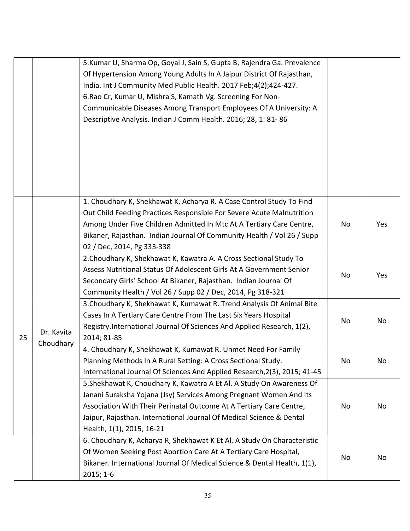|    |                         | 5. Kumar U, Sharma Op, Goyal J, Sain S, Gupta B, Rajendra Ga. Prevalence<br>Of Hypertension Among Young Adults In A Jaipur District Of Rajasthan,<br>India. Int J Community Med Public Health. 2017 Feb;4(2);424-427.<br>6. Rao Cr, Kumar U, Mishra S, Kamath Vg. Screening For Non-<br>Communicable Diseases Among Transport Employees Of A University: A<br>Descriptive Analysis. Indian J Comm Health. 2016; 28, 1: 81-86 |    |     |
|----|-------------------------|------------------------------------------------------------------------------------------------------------------------------------------------------------------------------------------------------------------------------------------------------------------------------------------------------------------------------------------------------------------------------------------------------------------------------|----|-----|
|    |                         | 1. Choudhary K, Shekhawat K, Acharya R. A Case Control Study To Find<br>Out Child Feeding Practices Responsible For Severe Acute Malnutrition<br>Among Under Five Children Admitted In Mtc At A Tertiary Care Centre,<br>Bikaner, Rajasthan. Indian Journal Of Community Health / Vol 26 / Supp<br>02 / Dec, 2014, Pg 333-338                                                                                                | No | Yes |
|    | Dr. Kavita<br>Choudhary | 2. Choudhary K, Shekhawat K, Kawatra A. A Cross Sectional Study To<br>Assess Nutritional Status Of Adolescent Girls At A Government Senior<br>Secondary Girls' School At Bikaner, Rajasthan. Indian Journal Of<br>Community Health / Vol 26 / Supp 02 / Dec, 2014, Pg 318-321                                                                                                                                                | No | Yes |
| 25 |                         | 3. Choudhary K, Shekhawat K, Kumawat R. Trend Analysis Of Animal Bite<br>Cases In A Tertiary Care Centre From The Last Six Years Hospital<br>Registry.International Journal Of Sciences And Applied Research, 1(2),<br>2014; 81-85                                                                                                                                                                                           | No | No  |
|    |                         | 4. Choudhary K, Shekhawat K, Kumawat R. Unmet Need For Family<br>Planning Methods In A Rural Setting: A Cross Sectional Study.<br>International Journal Of Sciences And Applied Research, 2(3), 2015; 41-45                                                                                                                                                                                                                  | No | No  |
|    |                         | 5. Shekhawat K, Choudhary K, Kawatra A Et Al. A Study On Awareness Of<br>Janani Suraksha Yojana (Jsy) Services Among Pregnant Women And Its<br>Association With Their Perinatal Outcome At A Tertiary Care Centre,<br>Jaipur, Rajasthan. International Journal Of Medical Science & Dental<br>Health, 1(1), 2015; 16-21                                                                                                      | No | No  |
|    |                         | 6. Choudhary K, Acharya R, Shekhawat K Et Al. A Study On Characteristic<br>Of Women Seeking Post Abortion Care At A Tertiary Care Hospital,<br>Bikaner. International Journal Of Medical Science & Dental Health, 1(1),<br>$2015; 1-6$                                                                                                                                                                                       | No | No  |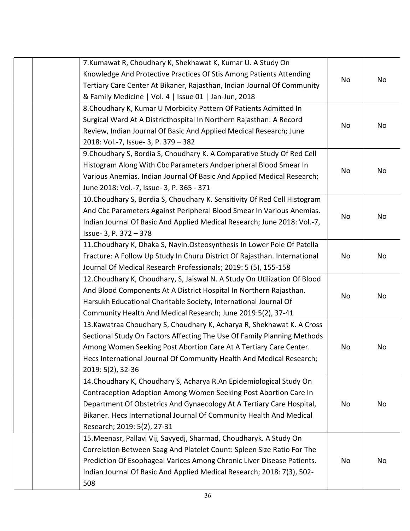| 7. Kumawat R, Choudhary K, Shekhawat K, Kumar U. A Study On               |    |    |
|---------------------------------------------------------------------------|----|----|
| Knowledge And Protective Practices Of Stis Among Patients Attending       | No | No |
| Tertiary Care Center At Bikaner, Rajasthan, Indian Journal Of Community   |    |    |
| & Family Medicine   Vol. 4   Issue 01   Jan-Jun, 2018                     |    |    |
| 8. Choudhary K, Kumar U Morbidity Pattern Of Patients Admitted In         |    |    |
| Surgical Ward At A Districthospital In Northern Rajasthan: A Record       |    |    |
| Review, Indian Journal Of Basic And Applied Medical Research; June        | No | No |
| 2018: Vol.-7, Issue- 3, P. 379 - 382                                      |    |    |
| 9. Choudhary S, Bordia S, Choudhary K. A Comparative Study Of Red Cell    |    |    |
| Histogram Along With Cbc Parameters Andperipheral Blood Smear In          |    |    |
| Various Anemias. Indian Journal Of Basic And Applied Medical Research;    | No | No |
| June 2018: Vol.-7, Issue- 3, P. 365 - 371                                 |    |    |
| 10. Choudhary S, Bordia S, Choudhary K. Sensitivity Of Red Cell Histogram |    |    |
| And Cbc Parameters Against Peripheral Blood Smear In Various Anemias.     |    |    |
| Indian Journal Of Basic And Applied Medical Research; June 2018: Vol.-7,  | No | No |
| Issue- 3, P. 372 - 378                                                    |    |    |
| 11. Choudhary K, Dhaka S, Navin. Osteosynthesis In Lower Pole Of Patella  |    |    |
| Fracture: A Follow Up Study In Churu District Of Rajasthan. International | No | No |
| Journal Of Medical Research Professionals; 2019: 5 (5), 155-158           |    |    |
| 12. Choudhary K, Choudhary, S, Jaiswal N. A Study On Utilization Of Blood |    |    |
| And Blood Components At A District Hospital In Northern Rajasthan.        |    |    |
| Harsukh Educational Charitable Society, International Journal Of          | No | No |
| Community Health And Medical Research; June 2019:5(2), 37-41              |    |    |
| 13. Kawatraa Choudhary S, Choudhary K, Acharya R, Shekhawat K. A Cross    |    |    |
| Sectional Study On Factors Affecting The Use Of Family Planning Methods   |    |    |
| Among Women Seeking Post Abortion Care At A Tertiary Care Center.         | No | No |
| Hecs International Journal Of Community Health And Medical Research;      |    |    |
| 2019: 5(2), 32-36                                                         |    |    |
| 14. Choudhary K, Choudhary S, Acharya R.An Epidemiological Study On       |    |    |
| Contraception Adoption Among Women Seeking Post Abortion Care In          |    |    |
| Department Of Obstetrics And Gynaecology At A Tertiary Care Hospital,     | No | No |
| Bikaner. Hecs International Journal Of Community Health And Medical       |    |    |
| Research; 2019: 5(2), 27-31                                               |    |    |
| 15. Meenasr, Pallavi Vij, Sayyedj, Sharmad, Choudharyk. A Study On        |    |    |
| Correlation Between Saag And Platelet Count: Spleen Size Ratio For The    |    |    |
| Prediction Of Esophageal Varices Among Chronic Liver Disease Patients.    | No | No |
| Indian Journal Of Basic And Applied Medical Research; 2018: 7(3), 502-    |    |    |
| 508                                                                       |    |    |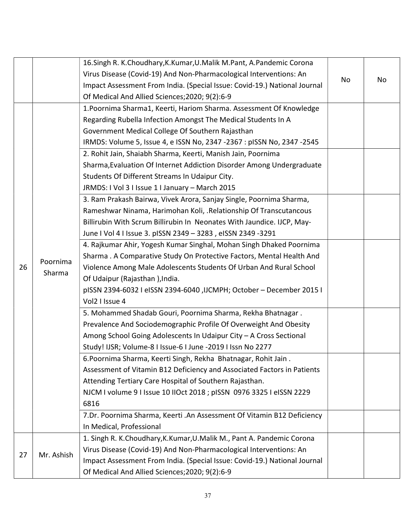|    |                    | 16. Singh R. K. Choudhary, K. Kumar, U. Malik M. Pant, A. Pandemic Corona |    |    |
|----|--------------------|---------------------------------------------------------------------------|----|----|
|    |                    | Virus Disease (Covid-19) And Non-Pharmacological Interventions: An        | No |    |
|    |                    | Impact Assessment From India. (Special Issue: Covid-19.) National Journal |    | No |
|    |                    | Of Medical And Allied Sciences; 2020; 9(2): 6-9                           |    |    |
|    |                    | 1. Poornima Sharma1, Keerti, Hariom Sharma. Assessment Of Knowledge       |    |    |
|    |                    | Regarding Rubella Infection Amongst The Medical Students In A             |    |    |
|    |                    | Government Medical College Of Southern Rajasthan                          |    |    |
|    |                    | IRMDS: Volume 5, Issue 4, e ISSN No, 2347 -2367 : pISSN No, 2347 -2545    |    |    |
|    |                    | 2. Rohit Jain, Shaiabh Sharma, Keerti, Manish Jain, Poornima              |    |    |
|    |                    | Sharma, Evaluation Of Internet Addiction Disorder Among Undergraduate     |    |    |
|    |                    | Students Of Different Streams In Udaipur City.                            |    |    |
|    |                    | JRMDS: I Vol 3 I Issue 1 I January - March 2015                           |    |    |
|    |                    | 3. Ram Prakash Bairwa, Vivek Arora, Sanjay Single, Poornima Sharma,       |    |    |
|    |                    | Rameshwar Ninama, Harimohan Koli, .Relationship Of Transcutancous         |    |    |
|    |                    | Billirubin With Scrum Billirubin In Neonates With Jaundice. IJCP, May-    |    |    |
|    | Poornima<br>Sharma | June I Vol 4 I Issue 3. pISSN 2349 - 3283, eISSN 2349-3291                |    |    |
|    |                    | 4. Rajkumar Ahir, Yogesh Kumar Singhal, Mohan Singh Dhaked Poornima       |    |    |
|    |                    | Sharma. A Comparative Study On Protective Factors, Mental Health And      |    |    |
| 26 |                    | Violence Among Male Adolescents Students Of Urban And Rural School        |    |    |
|    |                    | Of Udaipur (Rajasthan), India.                                            |    |    |
|    |                    | pISSN 2394-6032 I eISSN 2394-6040, IJCMPH; October - December 2015 I      |    |    |
|    |                    | Vol2 I Issue 4                                                            |    |    |
|    |                    | 5. Mohammed Shadab Gouri, Poornima Sharma, Rekha Bhatnagar.               |    |    |
|    |                    | Prevalence And Sociodemographic Profile Of Overweight And Obesity         |    |    |
|    |                    | Among School Going Adolescents In Udaipur City - A Cross Sectional        |    |    |
|    |                    | Study! IJSR; Volume-8 I Issue-6 I June -2019 I Issn No 2277               |    |    |
|    |                    | 6. Poornima Sharma, Keerti Singh, Rekha Bhatnagar, Rohit Jain.            |    |    |
|    |                    | Assessment of Vitamin B12 Deficiency and Associated Factors in Patients   |    |    |
|    |                    | Attending Tertiary Care Hospital of Southern Rajasthan.                   |    |    |
|    |                    | NJCM I volume 9 I Issue 10 IIOct 2018 ; pISSN 0976 3325 I eISSN 2229      |    |    |
|    |                    | 6816                                                                      |    |    |
|    |                    | 7.Dr. Poornima Sharma, Keerti .An Assessment Of Vitamin B12 Deficiency    |    |    |
|    |                    | In Medical, Professional                                                  |    |    |
|    |                    | 1. Singh R. K.Choudhary, K. Kumar, U. Malik M., Pant A. Pandemic Corona   |    |    |
|    |                    | Virus Disease (Covid-19) And Non-Pharmacological Interventions: An        |    |    |
| 27 | Mr. Ashish         | Impact Assessment From India. (Special Issue: Covid-19.) National Journal |    |    |
|    |                    | Of Medical And Allied Sciences; 2020; 9(2): 6-9                           |    |    |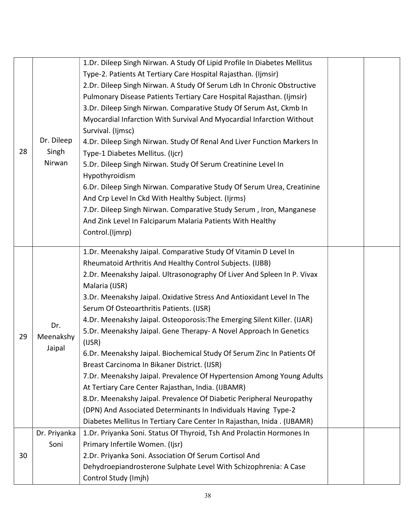|    |              | 1.Dr. Dileep Singh Nirwan. A Study Of Lipid Profile In Diabetes Mellitus |  |
|----|--------------|--------------------------------------------------------------------------|--|
|    |              | Type-2. Patients At Tertiary Care Hospital Rajasthan. (Ijmsir)           |  |
|    |              | 2.Dr. Dileep Singh Nirwan. A Study Of Serum Ldh In Chronic Obstructive   |  |
|    |              | Pulmonary Disease Patients Tertiary Care Hospital Rajasthan. (Ijmsir)    |  |
|    |              | 3.Dr. Dileep Singh Nirwan. Comparative Study Of Serum Ast, Ckmb In       |  |
|    |              | Myocardial Infarction With Survival And Myocardial Infarction Without    |  |
|    |              | Survival. (Ijmsc)                                                        |  |
|    | Dr. Dileep   | 4.Dr. Dileep Singh Nirwan. Study Of Renal And Liver Function Markers In  |  |
| 28 | Singh        | Type-1 Diabetes Mellitus. (Ijcr)                                         |  |
|    | Nirwan       | 5.Dr. Dileep Singh Nirwan. Study Of Serum Creatinine Level In            |  |
|    |              | Hypothyroidism                                                           |  |
|    |              | 6.Dr. Dileep Singh Nirwan. Comparative Study Of Serum Urea, Creatinine   |  |
|    |              | And Crp Level In Ckd With Healthy Subject. (Ijrms)                       |  |
|    |              | 7.Dr. Dileep Singh Nirwan. Comparative Study Serum, Iron, Manganese      |  |
|    |              | And Zink Level In Falciparum Malaria Patients With Healthy               |  |
|    |              | Control.(Ijmrp)                                                          |  |
|    |              |                                                                          |  |
|    |              | 1.Dr. Meenakshy Jaipal. Comparative Study Of Vitamin D Level In          |  |
|    |              | Rheumatoid Arthritis And Healthy Control Subjects. (IJBB)                |  |
|    |              | 2.Dr. Meenakshy Jaipal. Ultrasonography Of Liver And Spleen In P. Vivax  |  |
|    |              | Malaria (IJSR)                                                           |  |
|    |              | 3.Dr. Meenakshy Jaipal. Oxidative Stress And Antioxidant Level In The    |  |
|    |              | Serum Of Osteoarthritis Patients. (IJSR)                                 |  |
|    | Dr.          | 4.Dr. Meenakshy Jaipal. Osteoporosis: The Emerging Silent Killer. (IJAR) |  |
| 29 | Meenakshy    | 5.Dr. Meenakshy Jaipal. Gene Therapy- A Novel Approach In Genetics       |  |
|    | Jaipal       | (IJSR)                                                                   |  |
|    |              | 6.Dr. Meenakshy Jaipal. Biochemical Study Of Serum Zinc In Patients Of   |  |
|    |              | Breast Carcinoma In Bikaner District. (IJSR)                             |  |
|    |              | 7.Dr. Meenakshy Jaipal. Prevalence Of Hypertension Among Young Adults    |  |
|    |              | At Tertiary Care Center Rajasthan, India. (IJBAMR)                       |  |
|    |              | 8.Dr. Meenakshy Jaipal. Prevalence Of Diabetic Peripheral Neuropathy     |  |
|    |              | (DPN) And Associated Determinants In Individuals Having Type-2           |  |
|    |              | Diabetes Mellitus In Tertiary Care Center In Rajasthan, Inida. (IJBAMR)  |  |
|    | Dr. Priyanka | 1.Dr. Priyanka Soni. Status Of Thyroid, Tsh And Prolactin Hormones In    |  |
|    | Soni         | Primary Infertile Women. (Ijsr)                                          |  |
| 30 |              | 2.Dr. Priyanka Soni. Association Of Serum Cortisol And                   |  |
|    |              | Dehydroepiandrosterone Sulphate Level With Schizophrenia: A Case         |  |
|    |              | Control Study (Imjh)                                                     |  |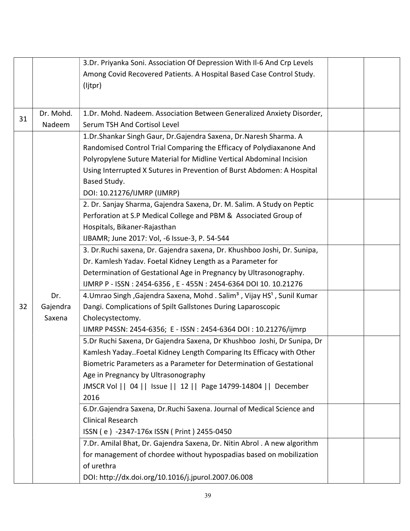|    |                                                                      | 3.Dr. Priyanka Soni. Association Of Depression With Il-6 And Crp Levels                         |  |
|----|----------------------------------------------------------------------|-------------------------------------------------------------------------------------------------|--|
|    | Among Covid Recovered Patients. A Hospital Based Case Control Study. |                                                                                                 |  |
|    |                                                                      | (ljtpr)                                                                                         |  |
|    |                                                                      |                                                                                                 |  |
|    | Dr. Mohd.                                                            | 1.Dr. Mohd. Nadeem. Association Between Generalized Anxiety Disorder,                           |  |
| 31 | Nadeem                                                               | Serum TSH And Cortisol Level                                                                    |  |
|    |                                                                      | 1.Dr.Shankar Singh Gaur, Dr.Gajendra Saxena, Dr.Naresh Sharma. A                                |  |
|    |                                                                      | Randomised Control Trial Comparing the Efficacy of Polydiaxanone And                            |  |
|    |                                                                      | Polyropylene Suture Material for Midline Vertical Abdominal Incision                            |  |
|    |                                                                      | Using Interrupted X Sutures in Prevention of Burst Abdomen: A Hospital                          |  |
|    |                                                                      | Based Study.                                                                                    |  |
|    |                                                                      | DOI: 10.21276/IJMRP (IJMRP)                                                                     |  |
|    |                                                                      | 2. Dr. Sanjay Sharma, Gajendra Saxena, Dr. M. Salim. A Study on Peptic                          |  |
|    |                                                                      | Perforation at S.P Medical College and PBM & Associated Group of                                |  |
|    |                                                                      | Hospitals, Bikaner-Rajasthan                                                                    |  |
|    |                                                                      | IJBAMR; June 2017: Vol, -6 Issue-3, P. 54-544                                                   |  |
|    |                                                                      | 3. Dr. Ruchi saxena, Dr. Gajendra saxena, Dr. Khushboo Joshi, Dr. Sunipa,                       |  |
|    |                                                                      | Dr. Kamlesh Yadav. Foetal Kidney Length as a Parameter for                                      |  |
|    |                                                                      | Determination of Gestational Age in Pregnancy by Ultrasonography.                               |  |
|    |                                                                      | IJMRP P - ISSN: 2454-6356, E - 455N: 2454-6364 DOI 10. 10.21276                                 |  |
|    | Dr.                                                                  | 4. Umrao Singh, Gajendra Saxena, Mohd. Salim <sup>3</sup> , Vijay HS <sup>1</sup> , Sunil Kumar |  |
| 32 | Gajendra                                                             | Dangi. Complications of Spilt Gallstones During Laparoscopic                                    |  |
|    | Saxena                                                               | Cholecystectomy.                                                                                |  |
|    |                                                                      | IJMRP P4SSN: 2454-6356; E - ISSN: 2454-6364 DOI: 10.21276/ijmrp                                 |  |
|    |                                                                      | 5.Dr Ruchi Saxena, Dr Gajendra Saxena, Dr Khushboo Joshi, Dr Sunipa, Dr                         |  |
|    |                                                                      | Kamlesh Yaday. Foetal Kidney Length Comparing Its Efficacy with Other                           |  |
|    |                                                                      | Biometric Parameters as a Parameter for Determination of Gestational                            |  |
|    |                                                                      | Age in Pregnancy by Ultrasonography                                                             |  |
|    |                                                                      | JMSCR Vol     04     Issue     12     Page 14799-14804     December                             |  |
|    |                                                                      | 2016                                                                                            |  |
|    |                                                                      | 6.Dr.Gajendra Saxena, Dr.Ruchi Saxena. Journal of Medical Science and                           |  |
|    |                                                                      | <b>Clinical Research</b>                                                                        |  |
|    |                                                                      | ISSN (e) -2347-176x ISSN (Print) 2455-0450                                                      |  |
|    |                                                                      | 7.Dr. Amilal Bhat, Dr. Gajendra Saxena, Dr. Nitin Abrol. A new algorithm                        |  |
|    |                                                                      | for management of chordee without hypospadias based on mobilization                             |  |
|    |                                                                      | of urethra                                                                                      |  |
|    |                                                                      | DOI: http://dx.doi.org/10.1016/j.jpurol.2007.06.008                                             |  |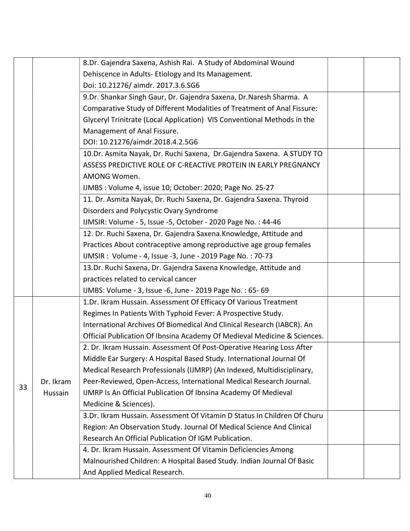|    |           | 8.Dr. Gajendra Saxena, Ashish Rai. A Study of Abdominal Wound            |  |
|----|-----------|--------------------------------------------------------------------------|--|
|    |           | Dehiscence in Adults-Etiology and Its Management.                        |  |
|    |           | Doi: 10.21276/ aimdr. 2017.3.6.SG6                                       |  |
|    |           | 9.Dr. Shankar Singh Gaur, Dr. Gajendra Saxena, Dr. Naresh Sharma. A      |  |
|    |           | Comparative Study of Different Modalities of Treatment of Anal Fissure:  |  |
|    |           | Glyceryl Trinitrate (Local Application) VIS Conventional Methods in the  |  |
|    |           | Management of Anal Fissure.                                              |  |
|    |           | DOI: 10.21276/aimdr.2018.4.2.5G6                                         |  |
|    |           | 10.Dr. Asmita Nayak, Dr. Ruchi Saxena, Dr. Gajendra Saxena. A STUDY TO   |  |
|    |           | ASSESS PREDICTIVE ROLE OF C-REACTIVE PROTEIN IN EARLY PREGNANCY          |  |
|    |           | AMONG Women.                                                             |  |
|    |           | IJMBS : Volume 4, issue 10; October: 2020; Page No. 25-27                |  |
|    |           | 11. Dr. Asmita Nayak, Dr. Ruchi Saxena, Dr. Gajendra Saxena. Thyroid     |  |
|    |           | Disorders and Polycystic Ovary Syndrome                                  |  |
|    |           | IJMSIR: Volume - 5, Issue - 5, October - 2020 Page No.: 44-46            |  |
|    |           | 12. Dr. Ruchi Saxena, Dr. Gajendra Saxena. Knowledge, Attitude and       |  |
|    |           | Practices About contraceptive among reproductive age group females       |  |
|    |           | IJMSIR : Volume - 4, Issue - 3, June - 2019 Page No. : 70-73             |  |
|    |           | 13.Dr. Ruchi Saxena, Dr. Gajendra Saxena Knowledge, Attitude and         |  |
|    |           | practices related to cervical cancer                                     |  |
|    |           | IJMBS: Volume - 3, Issue -6, June - 2019 Page No.: 65-69                 |  |
|    |           | 1.Dr. Ikram Hussain. Assessment Of Efficacy Of Various Treatment         |  |
|    |           | Regimes In Patients With Typhoid Fever: A Prospective Study.             |  |
|    |           | International Archives Of Biomedical And Clinical Research (IABCR). An   |  |
|    |           | Official Publication Of Ibnsina Academy Of Medieval Medicine & Sciences. |  |
|    |           | 2. Dr. Ikram Hussain. Assessment Of Post-Operative Hearing Loss After    |  |
|    |           | Middle Ear Surgery: A Hospital Based Study. International Journal Of     |  |
|    |           | Medical Research Professionals (IJMRP) (An Indexed, Multidisciplinary,   |  |
| 33 | Dr. Ikram | Peer-Reviewed, Open-Access, International Medical Research Journal.      |  |
|    | Hussain   | IJMRP Is An Official Publication Of Ibnsina Academy Of Medieval          |  |
|    |           | Medicine & Sciences).                                                    |  |
|    |           | 3.Dr. Ikram Hussain. Assessment Of Vitamin D Status In Children Of Churu |  |
|    |           | Region: An Observation Study. Journal Of Medical Science And Clinical    |  |
|    |           | Research An Official Publication Of IGM Publication.                     |  |
|    |           | 4. Dr. Ikram Hussain. Assessment Of Vitamin Deficiencies Among           |  |
|    |           | Malnourished Children: A Hospital Based Study. Indian Journal Of Basic   |  |
|    |           | And Applied Medical Research.                                            |  |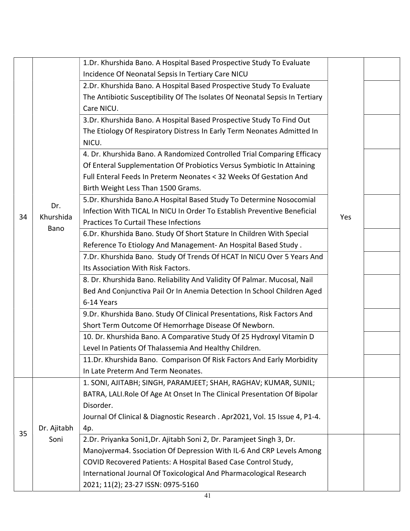|    |             | 1.Dr. Khurshida Bano. A Hospital Based Prospective Study To Evaluate         |     |  |
|----|-------------|------------------------------------------------------------------------------|-----|--|
|    |             | Incidence Of Neonatal Sepsis In Tertiary Care NICU                           |     |  |
|    |             | 2.Dr. Khurshida Bano. A Hospital Based Prospective Study To Evaluate         |     |  |
|    |             | The Antibiotic Susceptibility Of The Isolates Of Neonatal Sepsis In Tertiary |     |  |
|    |             | Care NICU.                                                                   |     |  |
|    |             | 3.Dr. Khurshida Bano. A Hospital Based Prospective Study To Find Out         |     |  |
|    |             | The Etiology Of Respiratory Distress In Early Term Neonates Admitted In      |     |  |
|    |             | NICU.                                                                        |     |  |
|    |             | 4. Dr. Khurshida Bano. A Randomized Controlled Trial Comparing Efficacy      |     |  |
|    |             | Of Enteral Supplementation Of Probiotics Versus Symbiotic In Attaining       |     |  |
|    |             | Full Enteral Feeds In Preterm Neonates < 32 Weeks Of Gestation And           |     |  |
|    |             | Birth Weight Less Than 1500 Grams.                                           |     |  |
|    |             | 5.Dr. Khurshida Bano.A Hospital Based Study To Determine Nosocomial          |     |  |
|    | Dr.         | Infection With TICAL In NICU In Order To Establish Preventive Beneficial     |     |  |
| 34 | Khurshida   | <b>Practices To Curtail These Infections</b>                                 | Yes |  |
|    | Bano        | 6.Dr. Khurshida Bano. Study Of Short Stature In Children With Special        |     |  |
|    |             | Reference To Etiology And Management-An Hospital Based Study.                |     |  |
|    |             | 7.Dr. Khurshida Bano. Study Of Trends Of HCAT In NICU Over 5 Years And       |     |  |
|    |             | Its Association With Risk Factors.                                           |     |  |
|    |             | 8. Dr. Khurshida Bano. Reliability And Validity Of Palmar. Mucosal, Nail     |     |  |
|    |             | Bed And Conjunctiva Pail Or In Anemia Detection In School Children Aged      |     |  |
|    |             | 6-14 Years                                                                   |     |  |
|    |             | 9.Dr. Khurshida Bano. Study Of Clinical Presentations, Risk Factors And      |     |  |
|    |             | Short Term Outcome Of Hemorrhage Disease Of Newborn.                         |     |  |
|    |             | 10. Dr. Khurshida Bano. A Comparative Study Of 25 Hydroxyl Vitamin D         |     |  |
|    |             | Level In Patients Of Thalassemia And Healthy Children.                       |     |  |
|    |             | 11.Dr. Khurshida Bano. Comparison Of Risk Factors And Early Morbidity        |     |  |
|    |             | In Late Preterm And Term Neonates.                                           |     |  |
|    |             | 1. SONI, AJITABH; SINGH, PARAMJEET; SHAH, RAGHAV; KUMAR, SUNIL;              |     |  |
|    |             | BATRA, LALI. Role Of Age At Onset In The Clinical Presentation Of Bipolar    |     |  |
|    |             | Disorder.                                                                    |     |  |
|    |             | Journal Of Clinical & Diagnostic Research . Apr2021, Vol. 15 Issue 4, P1-4.  |     |  |
| 35 | Dr. Ajitabh | 4p.                                                                          |     |  |
|    | Soni        | 2.Dr. Priyanka Soni1,Dr. Ajitabh Soni 2, Dr. Paramjeet Singh 3, Dr.          |     |  |
|    |             | Manojverma4. Ssociation Of Depression With IL-6 And CRP Levels Among         |     |  |
|    |             | COVID Recovered Patients: A Hospital Based Case Control Study,               |     |  |
|    |             | International Journal Of Toxicological And Pharmacological Research          |     |  |
|    |             | 2021; 11(2); 23-27 ISSN: 0975-5160                                           |     |  |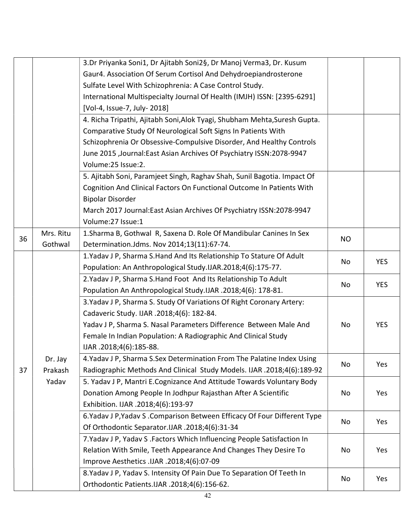|    |           | 3.Dr Priyanka Soni1, Dr Ajitabh Soni2§, Dr Manoj Verma3, Dr. Kusum         |    |            |
|----|-----------|----------------------------------------------------------------------------|----|------------|
|    |           | Gaur4. Association Of Serum Cortisol And Dehydroepiandrosterone            |    |            |
|    |           | Sulfate Level With Schizophrenia: A Case Control Study.                    |    |            |
|    |           | International Multispecialty Journal Of Health (IMJH) ISSN: [2395-6291]    |    |            |
|    |           | [Vol-4, Issue-7, July-2018]                                                |    |            |
|    |           | 4. Richa Tripathi, Ajitabh Soni, Alok Tyagi, Shubham Mehta, Suresh Gupta.  |    |            |
|    |           | Comparative Study Of Neurological Soft Signs In Patients With              |    |            |
|    |           | Schizophrenia Or Obsessive-Compulsive Disorder, And Healthy Controls       |    |            |
|    |           | June 2015 , Journal: East Asian Archives Of Psychiatry ISSN: 2078-9947     |    |            |
|    |           | Volume:25 Issue:2.                                                         |    |            |
|    |           | 5. Ajitabh Soni, Paramjeet Singh, Raghav Shah, Sunil Bagotia. Impact Of    |    |            |
|    |           | Cognition And Clinical Factors On Functional Outcome In Patients With      |    |            |
|    |           | <b>Bipolar Disorder</b>                                                    |    |            |
|    |           | March 2017 Journal: East Asian Archives Of Psychiatry ISSN: 2078-9947      |    |            |
|    |           | Volume:27 Issue:1                                                          |    |            |
|    | Mrs. Ritu | 1. Sharma B, Gothwal R, Saxena D. Role Of Mandibular Canines In Sex        | NO |            |
| 36 | Gothwal   | Determination.Jdms. Nov 2014;13(11):67-74.                                 |    |            |
|    |           | 1. Yadav J P, Sharma S. Hand And Its Relationship To Stature Of Adult      | No | <b>YES</b> |
|    |           | Population: An Anthropological Study.IJAR.2018;4(6):175-77.                |    |            |
|    |           | 2. Yadav J P, Sharma S. Hand Foot And Its Relationship To Adult            | No | <b>YES</b> |
|    |           | Population An Anthropological Study.IJAR .2018;4(6): 178-81.               |    |            |
|    |           | 3. Yadav J P, Sharma S. Study Of Variations Of Right Coronary Artery:      |    |            |
|    |           | Cadaveric Study. IJAR .2018;4(6): 182-84.                                  |    |            |
|    |           | Yadav J P, Sharma S. Nasal Parameters Difference Between Male And          | No | <b>YES</b> |
|    |           | Female In Indian Population: A Radiographic And Clinical Study             |    |            |
|    |           | IJAR.2018;4(6):185-88.                                                     |    |            |
|    | Dr. Jay   | 4. Yadav J P, Sharma S. Sex Determination From The Palatine Index Using    | No | Yes        |
| 37 | Prakash   | Radiographic Methods And Clinical Study Models. IJAR .2018;4(6):189-92     |    |            |
|    | Yadav     | 5. Yadav J P, Mantri E.Cognizance And Attitude Towards Voluntary Body      |    |            |
|    |           | Donation Among People In Jodhpur Rajasthan After A Scientific              | No | Yes        |
|    |           | Exhibition. IJAR .2018;4(6):193-97                                         |    |            |
|    |           | 6. Yadav J P, Yadav S . Comparison Between Efficacy Of Four Different Type | No | Yes        |
|    |           | Of Orthodontic Separator.IJAR .2018;4(6):31-34                             |    |            |
|    |           | 7. Yadav J P, Yadav S . Factors Which Influencing People Satisfaction In   |    |            |
|    |           | Relation With Smile, Teeth Appearance And Changes They Desire To           | No | Yes        |
|    |           | Improve Aesthetics .IJAR .2018;4(6):07-09                                  |    |            |
|    |           | 8. Yadav J P, Yadav S. Intensity Of Pain Due To Separation Of Teeth In     | No | Yes        |
|    |           | Orthodontic Patients.IJAR .2018;4(6):156-62.                               |    |            |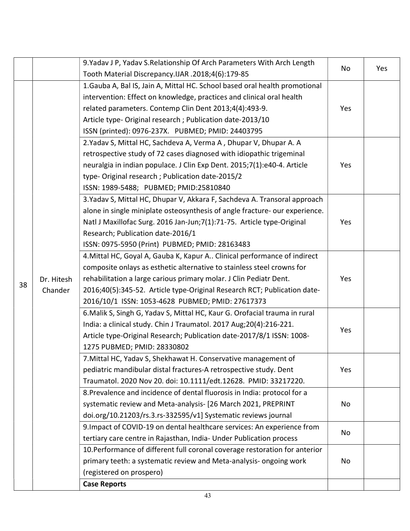|    |                       | 9. Yadav J P, Yadav S. Relationship Of Arch Parameters With Arch Length     | No  | Yes |
|----|-----------------------|-----------------------------------------------------------------------------|-----|-----|
|    |                       | Tooth Material Discrepancy.IJAR .2018;4(6):179-85                           |     |     |
|    |                       | 1. Gauba A, Bal IS, Jain A, Mittal HC. School based oral health promotional |     |     |
|    |                       | intervention: Effect on knowledge, practices and clinical oral health       |     |     |
|    |                       | related parameters. Contemp Clin Dent 2013;4(4):493-9.                      | Yes |     |
|    |                       | Article type- Original research ; Publication date-2013/10                  |     |     |
|    |                       | ISSN (printed): 0976-237X. PUBMED; PMID: 24403795                           |     |     |
|    |                       | 2. Yadav S, Mittal HC, Sachdeva A, Verma A, Dhupar V, Dhupar A. A           |     |     |
|    |                       | retrospective study of 72 cases diagnosed with idiopathic trigeminal        |     |     |
|    |                       | neuralgia in indian populace. J Clin Exp Dent. 2015;7(1):e40-4. Article     | Yes |     |
|    |                       | type-Original research; Publication date-2015/2                             |     |     |
|    |                       | ISSN: 1989-5488; PUBMED; PMID:25810840                                      |     |     |
|    |                       | 3. Yadav S, Mittal HC, Dhupar V, Akkara F, Sachdeva A. Transoral approach   |     |     |
|    |                       | alone in single miniplate osteosynthesis of angle fracture- our experience. |     |     |
|    |                       | Natl J Maxillofac Surg. 2016 Jan-Jun; 7(1): 71-75. Article type-Original    | Yes |     |
|    |                       | Research; Publication date-2016/1                                           |     |     |
|    |                       | ISSN: 0975-5950 (Print) PUBMED; PMID: 28163483                              |     |     |
|    | Dr. Hitesh<br>Chander | 4. Mittal HC, Goyal A, Gauba K, Kapur A Clinical performance of indirect    |     |     |
|    |                       | composite onlays as esthetic alternative to stainless steel crowns for      |     |     |
|    |                       | rehabilitation a large carious primary molar. J Clin Pediatr Dent.          | Yes |     |
| 38 |                       | 2016;40(5):345-52. Article type-Original Research RCT; Publication date-    |     |     |
|    |                       | 2016/10/1 ISSN: 1053-4628 PUBMED; PMID: 27617373                            |     |     |
|    |                       | 6. Malik S, Singh G, Yadav S, Mittal HC, Kaur G. Orofacial trauma in rural  |     |     |
|    |                       | India: a clinical study. Chin J Traumatol. 2017 Aug;20(4):216-221.          |     |     |
|    |                       | Article type-Original Research; Publication date-2017/8/1 ISSN: 1008-       | Yes |     |
|    |                       | 1275 PUBMED; PMID: 28330802                                                 |     |     |
|    |                       | 7. Mittal HC, Yadav S, Shekhawat H. Conservative management of              |     |     |
|    |                       | pediatric mandibular distal fractures-A retrospective study. Dent           | Yes |     |
|    |                       | Traumatol. 2020 Nov 20. doi: 10.1111/edt.12628. PMID: 33217220.             |     |     |
|    |                       | 8. Prevalence and incidence of dental fluorosis in India: protocol for a    |     |     |
|    |                       | systematic review and Meta-analysis- [26 March 2021, PREPRINT               | No  |     |
|    |                       | doi.org/10.21203/rs.3.rs-332595/v1] Systematic reviews journal              |     |     |
|    |                       | 9. Impact of COVID-19 on dental healthcare services: An experience from     |     |     |
|    |                       | tertiary care centre in Rajasthan, India- Under Publication process         | No  |     |
|    |                       | 10. Performance of different full coronal coverage restoration for anterior |     |     |
|    |                       | primary teeth: a systematic review and Meta-analysis- ongoing work          | No  |     |
|    |                       | (registered on prospero)                                                    |     |     |
|    |                       | <b>Case Reports</b>                                                         |     |     |
|    |                       |                                                                             |     |     |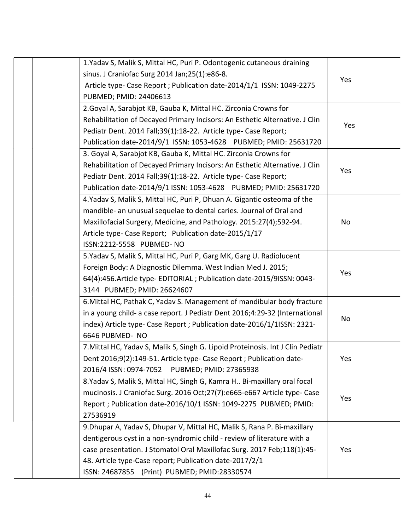|  | 1. Yadav S, Malik S, Mittal HC, Puri P. Odontogenic cutaneous draining          |     |  |
|--|---------------------------------------------------------------------------------|-----|--|
|  | sinus. J Craniofac Surg 2014 Jan; 25(1): e86-8.                                 | Yes |  |
|  | Article type- Case Report ; Publication date-2014/1/1 ISSN: 1049-2275           |     |  |
|  | PUBMED; PMID: 24406613                                                          |     |  |
|  | 2. Goyal A, Sarabjot KB, Gauba K, Mittal HC. Zirconia Crowns for                |     |  |
|  | Rehabilitation of Decayed Primary Incisors: An Esthetic Alternative. J Clin     | Yes |  |
|  | Pediatr Dent. 2014 Fall;39(1):18-22. Article type- Case Report;                 |     |  |
|  | Publication date-2014/9/1 ISSN: 1053-4628 PUBMED; PMID: 25631720                |     |  |
|  | 3. Goyal A, Sarabjot KB, Gauba K, Mittal HC. Zirconia Crowns for                |     |  |
|  | Rehabilitation of Decayed Primary Incisors: An Esthetic Alternative. J Clin     | Yes |  |
|  | Pediatr Dent. 2014 Fall;39(1):18-22. Article type- Case Report;                 |     |  |
|  | Publication date-2014/9/1 ISSN: 1053-4628 PUBMED; PMID: 25631720                |     |  |
|  | 4. Yadav S, Malik S, Mittal HC, Puri P, Dhuan A. Gigantic osteoma of the        |     |  |
|  | mandible- an unusual sequelae to dental caries. Journal of Oral and             |     |  |
|  | Maxillofacial Surgery, Medicine, and Pathology. 2015:27(4);592-94.              | No  |  |
|  | Article type- Case Report; Publication date-2015/1/17                           |     |  |
|  | ISSN:2212-5558 PUBMED- NO                                                       |     |  |
|  | 5. Yadav S, Malik S, Mittal HC, Puri P, Garg MK, Garg U. Radiolucent            |     |  |
|  | Foreign Body: A Diagnostic Dilemma. West Indian Med J. 2015;                    | Yes |  |
|  | 64(4):456. Article type- EDITORIAL ; Publication date-2015/9ISSN: 0043-         |     |  |
|  | 3144 PUBMED; PMID: 26624607                                                     |     |  |
|  | 6. Mittal HC, Pathak C, Yadav S. Management of mandibular body fracture         |     |  |
|  | in a young child- a case report. J Pediatr Dent 2016;4:29-32 (International     | No  |  |
|  | index) Article type- Case Report ; Publication date-2016/1/1ISSN: 2321-         |     |  |
|  | 6646 PUBMED- NO                                                                 |     |  |
|  | 7. Mittal HC, Yadav S, Malik S, Singh G. Lipoid Proteinosis. Int J Clin Pediatr |     |  |
|  | Dent 2016;9(2):149-51. Article type- Case Report ; Publication date-            | Yes |  |
|  | 2016/4 ISSN: 0974-7052 PUBMED; PMID: 27365938                                   |     |  |
|  | 8. Yadav S, Malik S, Mittal HC, Singh G, Kamra H Bi-maxillary oral focal        |     |  |
|  | mucinosis. J Craniofac Surg. 2016 Oct;27(7):e665-e667 Article type- Case        | Yes |  |
|  | Report ; Publication date-2016/10/1 ISSN: 1049-2275 PUBMED; PMID:               |     |  |
|  | 27536919                                                                        |     |  |
|  | 9. Dhupar A, Yadav S, Dhupar V, Mittal HC, Malik S, Rana P. Bi-maxillary        |     |  |
|  | dentigerous cyst in a non-syndromic child - review of literature with a         |     |  |
|  | case presentation. J Stomatol Oral Maxillofac Surg. 2017 Feb;118(1):45-         | Yes |  |
|  | 48. Article type-Case report; Publication date-2017/2/1                         |     |  |
|  | ISSN: 24687855 (Print) PUBMED; PMID:28330574                                    |     |  |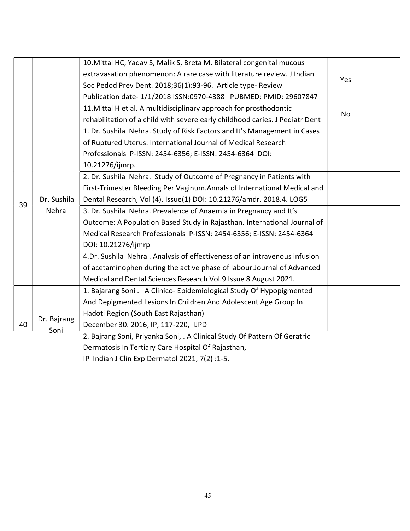|    |                      | 10. Mittal HC, Yadav S, Malik S, Breta M. Bilateral congenital mucous        |           |  |
|----|----------------------|------------------------------------------------------------------------------|-----------|--|
|    |                      | extravasation phenomenon: A rare case with literature review. J Indian       |           |  |
|    |                      | Soc Pedod Prev Dent. 2018;36(1):93-96. Article type- Review                  | Yes       |  |
|    |                      | Publication date- 1/1/2018 ISSN:0970-4388 PUBMED; PMID: 29607847             |           |  |
|    |                      | 11. Mittal H et al. A multidisciplinary approach for prosthodontic           |           |  |
|    |                      | rehabilitation of a child with severe early childhood caries. J Pediatr Dent | <b>No</b> |  |
|    |                      | 1. Dr. Sushila Nehra. Study of Risk Factors and It's Management in Cases     |           |  |
|    |                      | of Ruptured Uterus. International Journal of Medical Research                |           |  |
|    |                      | Professionals P-ISSN: 2454-6356; E-ISSN: 2454-6364 DOI:                      |           |  |
|    |                      | 10.21276/ijmrp.                                                              |           |  |
|    |                      | 2. Dr. Sushila Nehra. Study of Outcome of Pregnancy in Patients with         |           |  |
|    |                      | First-Trimester Bleeding Per Vaginum.Annals of International Medical and     |           |  |
| 39 | Dr. Sushila<br>Nehra | Dental Research, Vol (4), Issue(1) DOI: 10.21276/amdr. 2018.4. LOG5          |           |  |
|    |                      | 3. Dr. Sushila Nehra. Prevalence of Anaemia in Pregnancy and It's            |           |  |
|    |                      | Outcome: A Population Based Study in Rajasthan. International Journal of     |           |  |
|    |                      | Medical Research Professionals P-ISSN: 2454-6356; E-ISSN: 2454-6364          |           |  |
|    |                      | DOI: 10.21276/ijmrp                                                          |           |  |
|    |                      | 4.Dr. Sushila Nehra . Analysis of effectiveness of an intravenous infusion   |           |  |
|    |                      | of acetaminophen during the active phase of labour. Journal of Advanced      |           |  |
|    |                      | Medical and Dental Sciences Research Vol.9 Issue 8 August 2021.              |           |  |
|    |                      | 1. Bajarang Soni. A Clinico- Epidemiological Study Of Hypopigmented          |           |  |
|    |                      | And Depigmented Lesions In Children And Adolescent Age Group In              |           |  |
|    |                      | Hadoti Region (South East Rajasthan)                                         |           |  |
| 40 | Dr. Bajrang<br>Soni  | December 30. 2016, IP, 117-220, IJPD                                         |           |  |
|    |                      | 2. Bajrang Soni, Priyanka Soni, . A Clinical Study Of Pattern Of Geratric    |           |  |
|    |                      | Dermatosis In Tertiary Care Hospital Of Rajasthan,                           |           |  |
|    |                      | IP Indian J Clin Exp Dermatol 2021; 7(2):1-5.                                |           |  |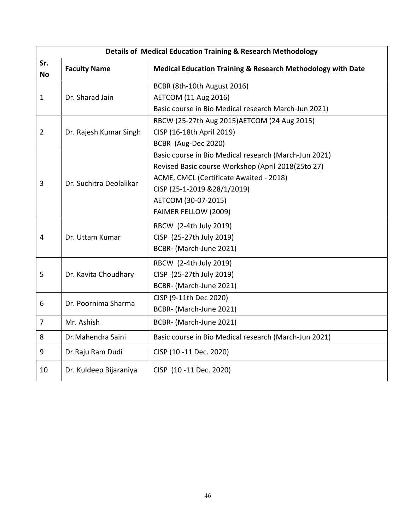|                  | Details of Medical Education Training & Research Methodology |                                                             |  |  |
|------------------|--------------------------------------------------------------|-------------------------------------------------------------|--|--|
| Sr.<br><b>No</b> | <b>Faculty Name</b>                                          | Medical Education Training & Research Methodology with Date |  |  |
|                  |                                                              | BCBR (8th-10th August 2016)                                 |  |  |
| $\mathbf{1}$     | Dr. Sharad Jain                                              | <b>AETCOM (11 Aug 2016)</b>                                 |  |  |
|                  |                                                              | Basic course in Bio Medical research March-Jun 2021)        |  |  |
|                  |                                                              | RBCW (25-27th Aug 2015) AETCOM (24 Aug 2015)                |  |  |
| $\overline{2}$   | Dr. Rajesh Kumar Singh                                       | CISP (16-18th April 2019)                                   |  |  |
|                  |                                                              | BCBR (Aug-Dec 2020)                                         |  |  |
|                  |                                                              | Basic course in Bio Medical research (March-Jun 2021)       |  |  |
|                  |                                                              | Revised Basic course Workshop (April 2018(25to 27)          |  |  |
| 3                | Dr. Suchitra Deolalikar                                      | ACME, CMCL (Certificate Awaited - 2018)                     |  |  |
|                  |                                                              | CISP (25-1-2019 &28/1/2019)                                 |  |  |
|                  |                                                              | AETCOM (30-07-2015)                                         |  |  |
|                  |                                                              | FAIMER FELLOW (2009)                                        |  |  |
|                  |                                                              | RBCW (2-4th July 2019)                                      |  |  |
| $\overline{4}$   | Dr. Uttam Kumar                                              | CISP (25-27th July 2019)                                    |  |  |
|                  |                                                              | BCBR- (March-June 2021)                                     |  |  |
|                  |                                                              | RBCW (2-4th July 2019)                                      |  |  |
| 5                | Dr. Kavita Choudhary                                         | CISP (25-27th July 2019)                                    |  |  |
|                  |                                                              | BCBR- (March-June 2021)                                     |  |  |
| 6                | Dr. Poornima Sharma                                          | CISP (9-11th Dec 2020)                                      |  |  |
|                  |                                                              | BCBR- (March-June 2021)                                     |  |  |
| $\overline{7}$   | Mr. Ashish                                                   | BCBR- (March-June 2021)                                     |  |  |
| 8                | Dr.Mahendra Saini                                            | Basic course in Bio Medical research (March-Jun 2021)       |  |  |
| 9                | Dr.Raju Ram Dudi                                             | CISP (10 -11 Dec. 2020)                                     |  |  |
| 10               | Dr. Kuldeep Bijaraniya                                       | CISP (10 -11 Dec. 2020)                                     |  |  |